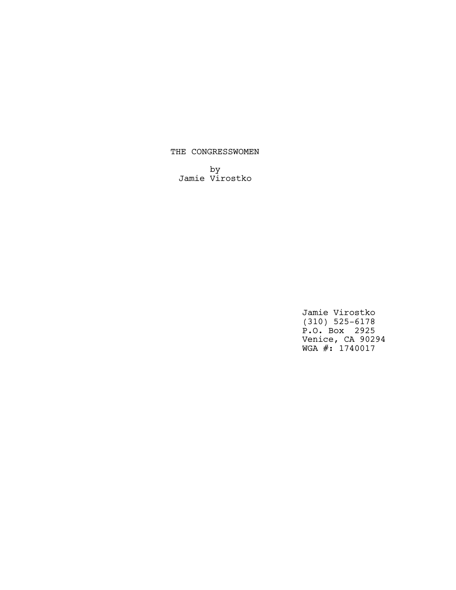# THE CONGRESSWOMEN

by Jamie Virostko

> Jamie Virostko (310) 525-6178 P.O. Box 2925 Venice, CA 90294 WGA #: 1740017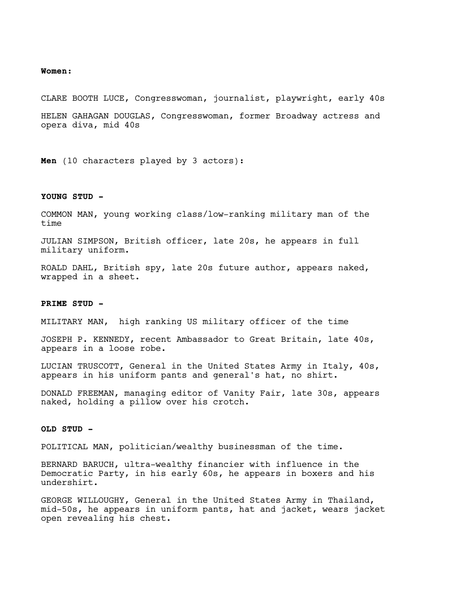#### **Women:**

CLARE BOOTH LUCE, Congresswoman, journalist, playwright, early 40s HELEN GAHAGAN DOUGLAS, Congresswoman, former Broadway actress and opera diva, mid 40s

**Men** (10 characters played by 3 actors):

## **YOUNG STUD -**

COMMON MAN, young working class/low-ranking military man of the time

JULIAN SIMPSON, British officer, late 20s, he appears in full military uniform.

ROALD DAHL, British spy, late 20s future author, appears naked, wrapped in a sheet.

## **PRIME STUD -**

MILITARY MAN, high ranking US military officer of the time

JOSEPH P. KENNEDY, recent Ambassador to Great Britain, late 40s, appears in a loose robe.

LUCIAN TRUSCOTT, General in the United States Army in Italy, 40s, appears in his uniform pants and general's hat, no shirt.

DONALD FREEMAN, managing editor of Vanity Fair, late 30s, appears naked, holding a pillow over his crotch.

## **OLD STUD -**

POLITICAL MAN, politician/wealthy businessman of the time.

BERNARD BARUCH, ultra-wealthy financier with influence in the Democratic Party, in his early 60s, he appears in boxers and his undershirt.

GEORGE WILLOUGHY, General in the United States Army in Thailand, mid-50s, he appears in uniform pants, hat and jacket, wears jacket open revealing his chest.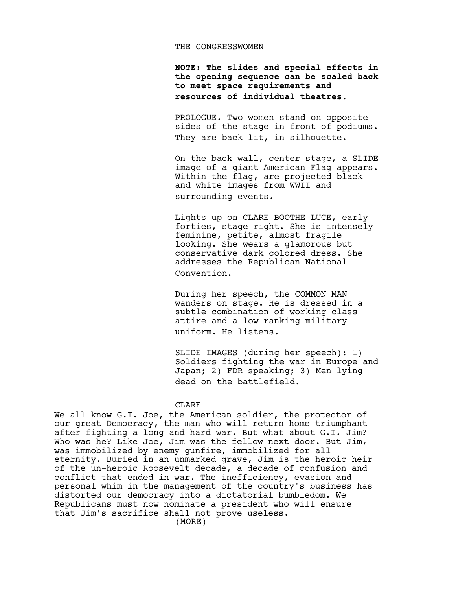#### THE CONGRESSWOMEN

**NOTE: The slides and special effects in the opening sequence can be scaled back to meet space requirements and resources of individual theatres.** 

PROLOGUE. Two women stand on opposite sides of the stage in front of podiums. They are back-lit, in silhouette.

On the back wall, center stage, a SLIDE image of a giant American Flag appears. Within the flag, are projected black and white images from WWII and surrounding events.

Lights up on CLARE BOOTHE LUCE, early forties, stage right. She is intensely feminine, petite, almost fragile looking. She wears a glamorous but conservative dark colored dress. She addresses the Republican National Convention.

During her speech, the COMMON MAN wanders on stage. He is dressed in a subtle combination of working class attire and a low ranking military uniform. He listens.

SLIDE IMAGES (during her speech): 1) Soldiers fighting the war in Europe and Japan; 2) FDR speaking; 3) Men lying dead on the battlefield.

## CLARE

We all know G.I. Joe, the American soldier, the protector of our great Democracy, the man who will return home triumphant after fighting a long and hard war. But what about G.I. Jim? Who was he? Like Joe, Jim was the fellow next door. But Jim, was immobilized by enemy gunfire, immobilized for all eternity. Buried in an unmarked grave, Jim is the heroic heir of the un-heroic Roosevelt decade, a decade of confusion and conflict that ended in war. The inefficiency, evasion and personal whim in the management of the country's business has distorted our democracy into a dictatorial bumbledom. We Republicans must now nominate a president who will ensure that Jim's sacrifice shall not prove useless.

(MORE)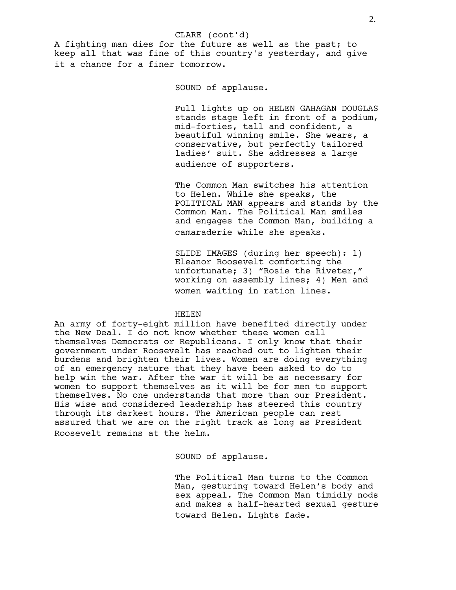### CLARE (cont'd)

A fighting man dies for the future as well as the past; to keep all that was fine of this country's yesterday, and give it a chance for a finer tomorrow.

SOUND of applause.

Full lights up on HELEN GAHAGAN DOUGLAS stands stage left in front of a podium, mid-forties, tall and confident, a beautiful winning smile. She wears, a conservative, but perfectly tailored ladies' suit. She addresses a large audience of supporters.

The Common Man switches his attention to Helen. While she speaks, the POLITICAL MAN appears and stands by the Common Man. The Political Man smiles and engages the Common Man, building a camaraderie while she speaks.

SLIDE IMAGES (during her speech): 1) Eleanor Roosevelt comforting the unfortunate; 3) "Rosie the Riveter," working on assembly lines; 4) Men and women waiting in ration lines.

## HELEN

An army of forty-eight million have benefited directly under the New Deal. I do not know whether these women call themselves Democrats or Republicans. I only know that their government under Roosevelt has reached out to lighten their burdens and brighten their lives. Women are doing everything of an emergency nature that they have been asked to do to help win the war. After the war it will be as necessary for women to support themselves as it will be for men to support themselves. No one understands that more than our President. His wise and considered leadership has steered this country through its darkest hours. The American people can rest assured that we are on the right track as long as President Roosevelt remains at the helm.

SOUND of applause.

The Political Man turns to the Common Man, gesturing toward Helen's body and sex appeal. The Common Man timidly nods and makes a half-hearted sexual gesture toward Helen. Lights fade.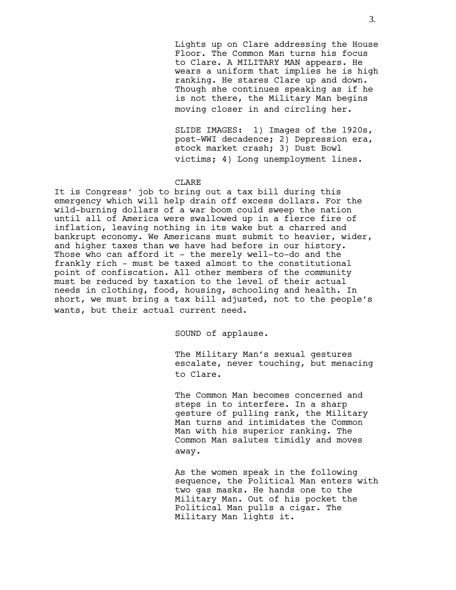Lights up on Clare addressing the House Floor. The Common Man turns his focus to Clare. A MILITARY MAN appears. He wears a uniform that implies he is high ranking. He stares Clare up and down. Though she continues speaking as if he is not there, the Military Man begins moving closer in and circling her.

SLIDE IMAGES: 1) Images of the 1920s, post-WWI decadence; 2) Depression era, stock market crash; 3) Dust Bowl victims; 4) Long unemployment lines.

### CLARE

It is Congress' job to bring out a tax bill during this emergency which will help drain off excess dollars. For the wild-burning dollars of a war boom could sweep the nation until all of America were swallowed up in a fierce fire of inflation, leaving nothing in its wake but a charred and bankrupt economy. We Americans must submit to heavier, wider, and higher taxes than we have had before in our history. Those who can afford it - the merely well-to-do and the frankly rich - must be taxed almost to the constitutional point of confiscation. All other members of the community must be reduced by taxation to the level of their actual needs in clothing, food, housing, schooling and health. In short, we must bring a tax bill adjusted, not to the people's wants, but their actual current need.

SOUND of applause.

The Military Man's sexual gestures escalate, never touching, but menacing to Clare.

The Common Man becomes concerned and steps in to interfere. In a sharp gesture of pulling rank, the Military Man turns and intimidates the Common Man with his superior ranking. The Common Man salutes timidly and moves away.

As the women speak in the following sequence, the Political Man enters with two gas masks. He hands one to the Military Man. Out of his pocket the Political Man pulls a cigar. The Military Man lights it.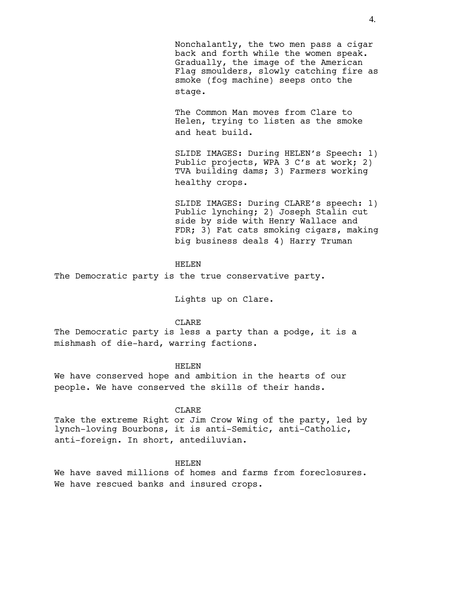Nonchalantly, the two men pass a cigar back and forth while the women speak. Gradually, the image of the American Flag smoulders, slowly catching fire as smoke (fog machine) seeps onto the stage.

The Common Man moves from Clare to Helen, trying to listen as the smoke and heat build.

SLIDE IMAGES: During HELEN's Speech: 1) Public projects, WPA 3 C's at work; 2) TVA building dams; 3) Farmers working healthy crops.

SLIDE IMAGES: During CLARE's speech: 1) Public lynching; 2) Joseph Stalin cut side by side with Henry Wallace and FDR; 3) Fat cats smoking cigars, making big business deals 4) Harry Truman

## HELEN

The Democratic party is the true conservative party.

Lights up on Clare.

## CLARE

The Democratic party is less a party than a podge, it is a mishmash of die-hard, warring factions.

## HELEN

We have conserved hope and ambition in the hearts of our people. We have conserved the skills of their hands.

# CLARE

Take the extreme Right or Jim Crow Wing of the party, led by lynch-loving Bourbons, it is anti-Semitic, anti-Catholic, anti-foreign. In short, antediluvian.

## HELEN

We have saved millions of homes and farms from foreclosures. We have rescued banks and insured crops.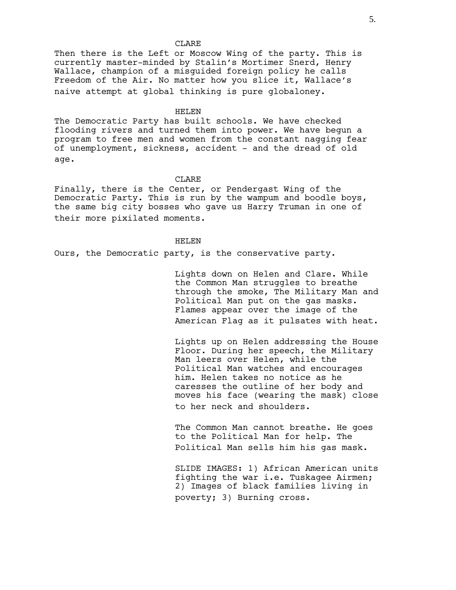Then there is the Left or Moscow Wing of the party. This is currently master-minded by Stalin's Mortimer Snerd, Henry Wallace, champion of a misguided foreign policy he calls Freedom of the Air. No matter how you slice it, Wallace's naive attempt at global thinking is pure globaloney.

## HELEN

The Democratic Party has built schools. We have checked flooding rivers and turned them into power. We have begun a program to free men and women from the constant nagging fear of unemployment, sickness, accident - and the dread of old age.

## **CLARE**

Finally, there is the Center, or Pendergast Wing of the Democratic Party. This is run by the wampum and boodle boys, the same big city bosses who gave us Harry Truman in one of their more pixilated moments.

## HELEN

Ours, the Democratic party, is the conservative party.

Lights down on Helen and Clare. While the Common Man struggles to breathe through the smoke, The Military Man and Political Man put on the gas masks. Flames appear over the image of the American Flag as it pulsates with heat.

Lights up on Helen addressing the House Floor. During her speech, the Military Man leers over Helen, while the Political Man watches and encourages him. Helen takes no notice as he caresses the outline of her body and moves his face (wearing the mask) close to her neck and shoulders.

The Common Man cannot breathe. He goes to the Political Man for help. The Political Man sells him his gas mask.

SLIDE IMAGES: 1) African American units fighting the war i.e. Tuskagee Airmen; 2) Images of black families living in poverty; 3) Burning cross.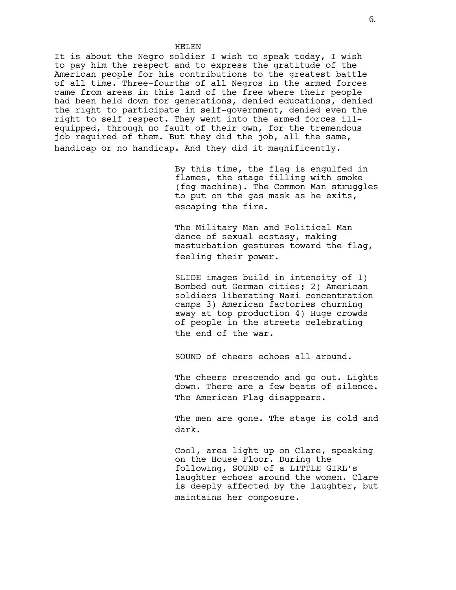It is about the Negro soldier I wish to speak today, I wish to pay him the respect and to express the gratitude of the American people for his contributions to the greatest battle of all time. Three-fourths of all Negros in the armed forces came from areas in this land of the free where their people had been held down for generations, denied educations, denied the right to participate in self-government, denied even the right to self respect. They went into the armed forces illequipped, through no fault of their own, for the tremendous job required of them. But they did the job, all the same, handicap or no handicap. And they did it magnificently.

HELEN

By this time, the flag is engulfed in flames, the stage filling with smoke (fog machine). The Common Man struggles to put on the gas mask as he exits, escaping the fire.

The Military Man and Political Man dance of sexual ecstasy, making masturbation gestures toward the flag, feeling their power.

SLIDE images build in intensity of 1) Bombed out German cities; 2) American soldiers liberating Nazi concentration camps 3) American factories churning away at top production 4) Huge crowds of people in the streets celebrating the end of the war.

SOUND of cheers echoes all around.

The cheers crescendo and go out. Lights down. There are a few beats of silence. The American Flag disappears.

The men are gone. The stage is cold and dark.

Cool, area light up on Clare, speaking on the House Floor. During the following, SOUND of a LITTLE GIRL's laughter echoes around the women. Clare is deeply affected by the laughter, but maintains her composure.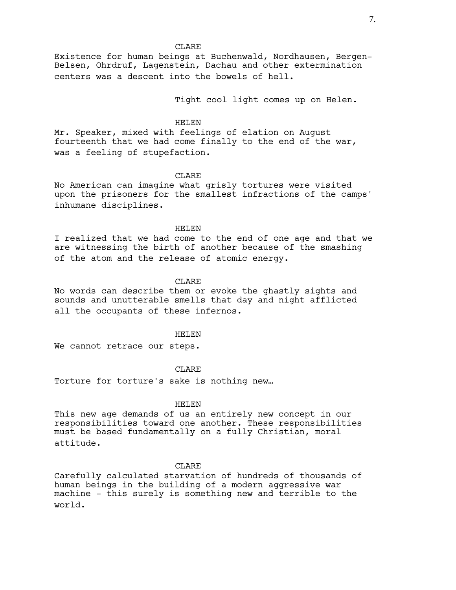Existence for human beings at Buchenwald, Nordhausen, Bergen-Belsen, Ohrdruf, Lagenstein, Dachau and other extermination centers was a descent into the bowels of hell.

Tight cool light comes up on Helen.

## HELEN

Mr. Speaker, mixed with feelings of elation on August fourteenth that we had come finally to the end of the war, was a feeling of stupefaction.

## **CLARE**

No American can imagine what grisly tortures were visited upon the prisoners for the smallest infractions of the camps' inhumane disciplines.

## HELEN

I realized that we had come to the end of one age and that we are witnessing the birth of another because of the smashing of the atom and the release of atomic energy.

### CLARE.

No words can describe them or evoke the ghastly sights and sounds and unutterable smells that day and night afflicted all the occupants of these infernos.

## HELEN

We cannot retrace our steps.

## CLARE

Torture for torture's sake is nothing new…

### HELEN

This new age demands of us an entirely new concept in our responsibilities toward one another. These responsibilities must be based fundamentally on a fully Christian, moral attitude.

## **CLARE**

Carefully calculated starvation of hundreds of thousands of human beings in the building of a modern aggressive war machine - this surely is something new and terrible to the world.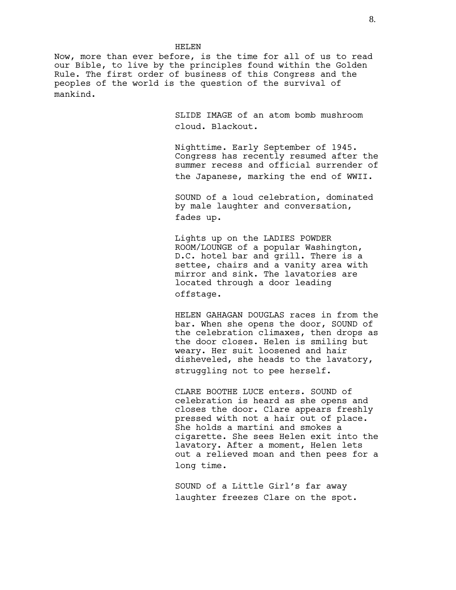Now, more than ever before, is the time for all of us to read our Bible, to live by the principles found within the Golden Rule. The first order of business of this Congress and the peoples of the world is the question of the survival of mankind.

HELEN

SLIDE IMAGE of an atom bomb mushroom cloud. Blackout.

Nighttime. Early September of 1945. Congress has recently resumed after the summer recess and official surrender of the Japanese, marking the end of WWII.

SOUND of a loud celebration, dominated by male laughter and conversation, fades up.

Lights up on the LADIES POWDER ROOM/LOUNGE of a popular Washington, D.C. hotel bar and grill. There is a settee, chairs and a vanity area with mirror and sink. The lavatories are located through a door leading offstage.

HELEN GAHAGAN DOUGLAS races in from the bar. When she opens the door, SOUND of the celebration climaxes, then drops as the door closes. Helen is smiling but weary. Her suit loosened and hair disheveled, she heads to the lavatory, struggling not to pee herself.

CLARE BOOTHE LUCE enters. SOUND of celebration is heard as she opens and closes the door. Clare appears freshly pressed with not a hair out of place. She holds a martini and smokes a cigarette. She sees Helen exit into the lavatory. After a moment, Helen lets out a relieved moan and then pees for a long time.

SOUND of a Little Girl's far away laughter freezes Clare on the spot.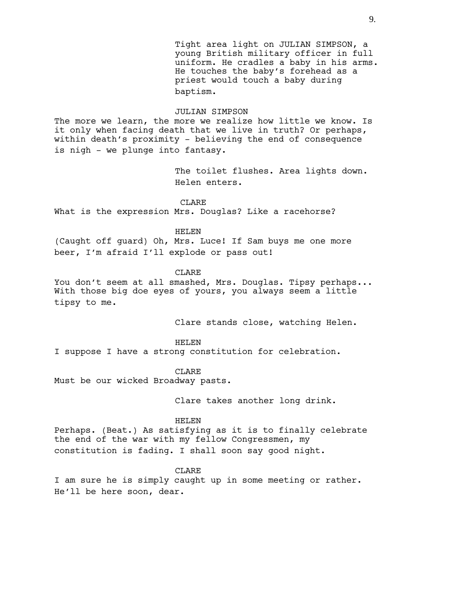Tight area light on JULIAN SIMPSON, a young British military officer in full uniform. He cradles a baby in his arms. He touches the baby's forehead as a priest would touch a baby during baptism.

#### JULIAN SIMPSON

The more we learn, the more we realize how little we know. Is it only when facing death that we live in truth? Or perhaps, within death's proximity - believing the end of consequence is nigh - we plunge into fantasy.

> The toilet flushes. Area lights down. Helen enters.

## **CLARE**

What is the expression Mrs. Douglas? Like a racehorse?

#### HELEN

(Caught off guard) Oh, Mrs. Luce! If Sam buys me one more beer, I'm afraid I'll explode or pass out!

## CLARE

You don't seem at all smashed, Mrs. Douglas. Tipsy perhaps... With those big doe eyes of yours, you always seem a little tipsy to me.

Clare stands close, watching Helen.

### HELEN

I suppose I have a strong constitution for celebration.

CLARE

Must be our wicked Broadway pasts.

Clare takes another long drink.

### HELEN

Perhaps. (Beat.) As satisfying as it is to finally celebrate the end of the war with my fellow Congressmen, my constitution is fading. I shall soon say good night.

## **CLARE**

I am sure he is simply caught up in some meeting or rather. He'll be here soon, dear.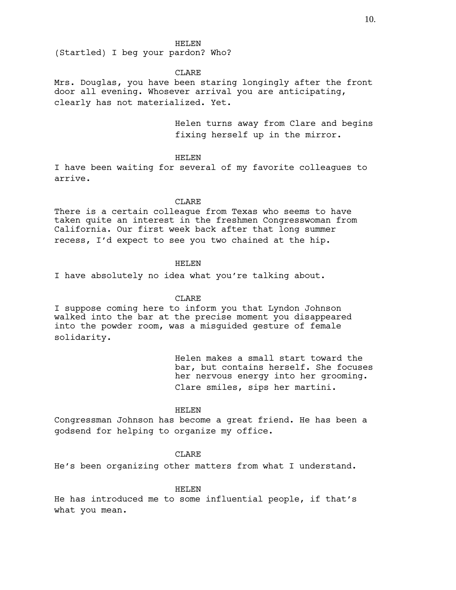(Startled) I beg your pardon? Who?

CLARE

Mrs. Douglas, you have been staring longingly after the front door all evening. Whosever arrival you are anticipating, clearly has not materialized. Yet.

> Helen turns away from Clare and begins fixing herself up in the mirror.

HELEN

I have been waiting for several of my favorite colleagues to arrive.

CLARE

There is a certain colleague from Texas who seems to have taken quite an interest in the freshmen Congresswoman from California. Our first week back after that long summer recess, I'd expect to see you two chained at the hip.

## HELEN

I have absolutely no idea what you're talking about.

CLARE

I suppose coming here to inform you that Lyndon Johnson walked into the bar at the precise moment you disappeared into the powder room, was a misguided gesture of female solidarity.

> Helen makes a small start toward the bar, but contains herself. She focuses her nervous energy into her grooming. Clare smiles, sips her martini.

#### HELEN

Congressman Johnson has become a great friend. He has been a godsend for helping to organize my office.

# **CLARE**

He's been organizing other matters from what I understand.

### HELEN

He has introduced me to some influential people, if that's what you mean.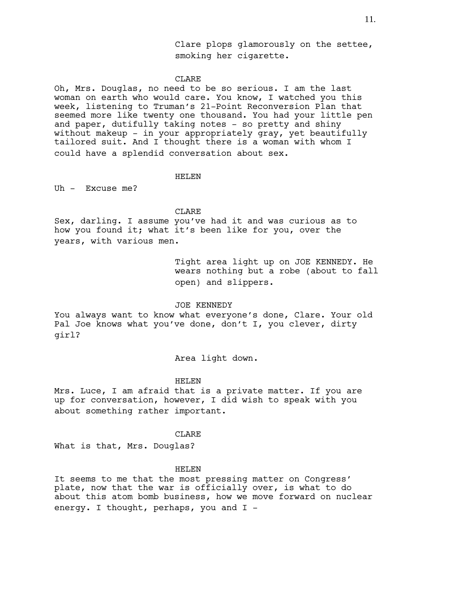Oh, Mrs. Douglas, no need to be so serious. I am the last woman on earth who would care. You know, I watched you this week, listening to Truman's 21-Point Reconversion Plan that seemed more like twenty one thousand. You had your little pen and paper, dutifully taking notes - so pretty and shiny without makeup - in your appropriately gray, yet beautifully tailored suit. And I thought there is a woman with whom I could have a splendid conversation about sex.

## HELEN

Uh - Excuse me?

## **CLARE**

Sex, darling. I assume you've had it and was curious as to how you found it; what it's been like for you, over the years, with various men.

> Tight area light up on JOE KENNEDY. He wears nothing but a robe (about to fall open) and slippers.

## JOE KENNEDY

You always want to know what everyone's done, Clare. Your old Pal Joe knows what you've done, don't I, you clever, dirty girl?

## Area light down.

### HELEN

Mrs. Luce, I am afraid that is a private matter. If you are up for conversation, however, I did wish to speak with you about something rather important.

## CLARE

What is that, Mrs. Douglas?

## HELEN

It seems to me that the most pressing matter on Congress' plate, now that the war is officially over, is what to do about this atom bomb business, how we move forward on nuclear energy. I thought, perhaps, you and I -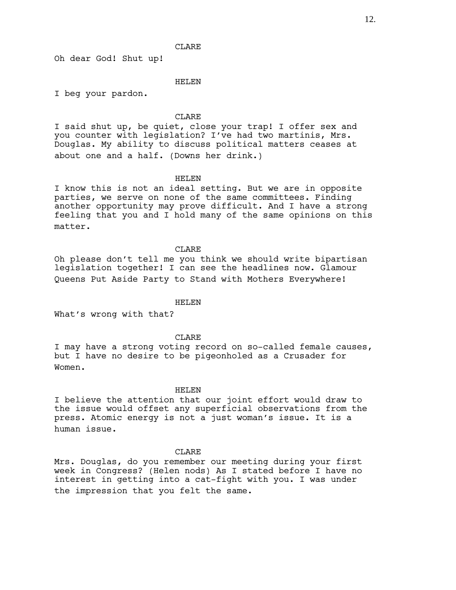Oh dear God! Shut up!

### HELEN

I beg your pardon.

### **CLARE**

I said shut up, be quiet, close your trap! I offer sex and you counter with legislation? I've had two martinis, Mrs. Douglas. My ability to discuss political matters ceases at about one and a half. (Downs her drink.)

## HELEN

I know this is not an ideal setting. But we are in opposite parties, we serve on none of the same committees. Finding another opportunity may prove difficult. And I have a strong feeling that you and I hold many of the same opinions on this matter.

### CLARE

Oh please don't tell me you think we should write bipartisan legislation together! I can see the headlines now. Glamour Queens Put Aside Party to Stand with Mothers Everywhere!

## HELEN

What's wrong with that?

### CLARE

I may have a strong voting record on so-called female causes, but I have no desire to be pigeonholed as a Crusader for Women.

## HELEN

I believe the attention that our joint effort would draw to the issue would offset any superficial observations from the press. Atomic energy is not a just woman's issue. It is a human issue.

#### CLARE

Mrs. Douglas, do you remember our meeting during your first week in Congress? (Helen nods) As I stated before I have no interest in getting into a cat-fight with you. I was under the impression that you felt the same.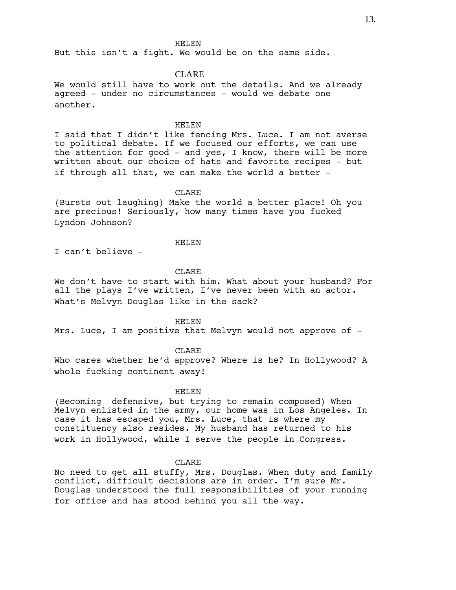But this isn't a fight. We would be on the same side.

## CLARE

We would still have to work out the details. And we already agreed - under no circumstances - would we debate one another.

### HELEN

I said that I didn't like fencing Mrs. Luce. I am not averse to political debate. If we focused our efforts, we can use the attention for good - and yes, I know, there will be more written about our choice of hats and favorite recipes - but if through all that, we can make the world a better -

## CLARE

(Bursts out laughing) Make the world a better place! Oh you are precious! Seriously, how many times have you fucked Lyndon Johnson?

## HELEN

I can't believe -

## CLARE

We don't have to start with him. What about your husband? For all the plays I've written, I've never been with an actor. What's Melvyn Douglas like in the sack?

HELEN

Mrs. Luce, I am positive that Melvyn would not approve of -

## CLARE

Who cares whether he'd approve? Where is he? In Hollywood? A whole fucking continent away!

#### HELEN

(Becoming defensive, but trying to remain composed) When Melvyn enlisted in the army, our home was in Los Angeles. In case it has escaped you, Mrs. Luce, that is where my constituency also resides. My husband has returned to his work in Hollywood, while I serve the people in Congress.

## CLARE

No need to get all stuffy, Mrs. Douglas. When duty and family conflict, difficult decisions are in order. I'm sure Mr. Douglas understood the full responsibilities of your running for office and has stood behind you all the way.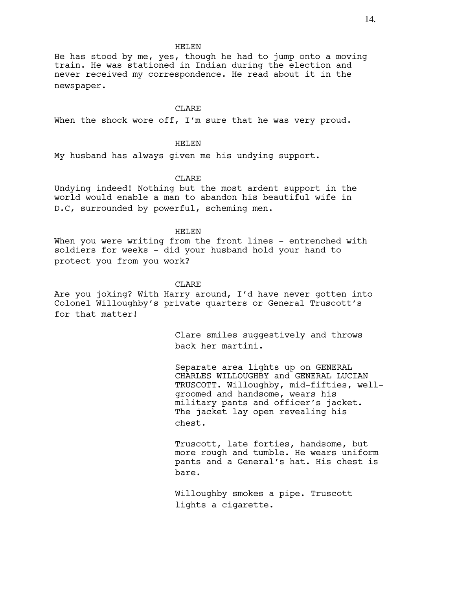He has stood by me, yes, though he had to jump onto a moving train. He was stationed in Indian during the election and never received my correspondence. He read about it in the newspaper.

# **CLARE**

When the shock wore off, I'm sure that he was very proud.

## HELEN

My husband has always given me his undying support.

# CLARE

Undying indeed! Nothing but the most ardent support in the world would enable a man to abandon his beautiful wife in D.C, surrounded by powerful, scheming men.

## HELEN

When you were writing from the front lines - entrenched with soldiers for weeks - did your husband hold your hand to protect you from you work?

### CLARE

Are you joking? With Harry around, I'd have never gotten into Colonel Willoughby's private quarters or General Truscott's for that matter!

> Clare smiles suggestively and throws back her martini.

Separate area lights up on GENERAL CHARLES WILLOUGHBY and GENERAL LUCIAN TRUSCOTT. Willoughby, mid-fifties, wellgroomed and handsome, wears his military pants and officer's jacket. The jacket lay open revealing his chest.

Truscott, late forties, handsome, but more rough and tumble. He wears uniform pants and a General's hat. His chest is bare.

Willoughby smokes a pipe. Truscott lights a cigarette.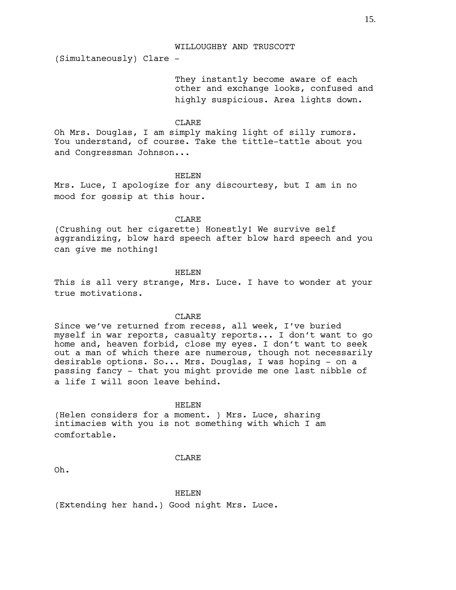WILLOUGHBY AND TRUSCOTT

(Simultaneously) Clare -

They instantly become aware of each other and exchange looks, confused and highly suspicious. Area lights down.

# CLARE

Oh Mrs. Douglas, I am simply making light of silly rumors. You understand, of course. Take the tittle-tattle about you and Congressman Johnson...

HELEN

Mrs. Luce, I apologize for any discourtesy, but I am in no mood for gossip at this hour.

CLARE

(Crushing out her cigarette) Honestly! We survive self aggrandizing, blow hard speech after blow hard speech and you can give me nothing!

HELEN

This is all very strange, Mrs. Luce. I have to wonder at your true motivations.

## CLARE

Since we've returned from recess, all week, I've buried myself in war reports, casualty reports... I don't want to go home and, heaven forbid, close my eyes. I don't want to seek out a man of which there are numerous, though not necessarily desirable options. So... Mrs. Douglas, I was hoping - on a passing fancy - that you might provide me one last nibble of a life I will soon leave behind.

#### HELEN

(Helen considers for a moment. ) Mrs. Luce, sharing intimacies with you is not something with which I am comfortable.

#### CLARE

Oh.

#### HELEN

(Extending her hand.) Good night Mrs. Luce.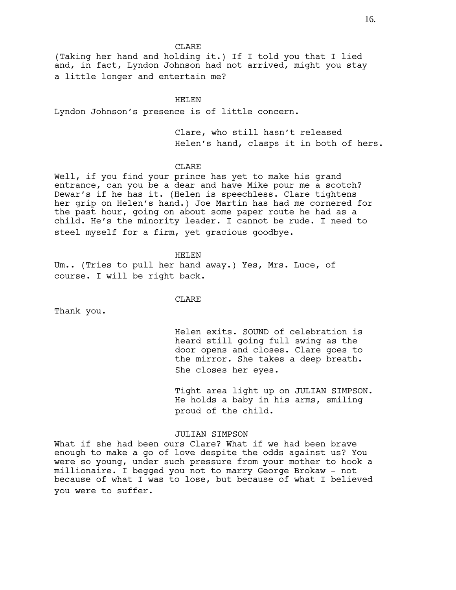(Taking her hand and holding it.) If I told you that I lied and, in fact, Lyndon Johnson had not arrived, might you stay a little longer and entertain me?

### HELEN

Lyndon Johnson's presence is of little concern.

Clare, who still hasn't released Helen's hand, clasps it in both of hers.

## CLARE

Well, if you find your prince has yet to make his grand entrance, can you be a dear and have Mike pour me a scotch? Dewar's if he has it. (Helen is speechless. Clare tightens her grip on Helen's hand.) Joe Martin has had me cornered for the past hour, going on about some paper route he had as a child. He's the minority leader. I cannot be rude. I need to steel myself for a firm, yet gracious goodbye.

HELEN

Um.. (Tries to pull her hand away.) Yes, Mrs. Luce, of course. I will be right back.

## CLARE

Thank you.

Helen exits. SOUND of celebration is heard still going full swing as the door opens and closes. Clare goes to the mirror. She takes a deep breath. She closes her eyes.

Tight area light up on JULIAN SIMPSON. He holds a baby in his arms, smiling proud of the child.

## JULIAN SIMPSON

What if she had been ours Clare? What if we had been brave enough to make a go of love despite the odds against us? You were so young, under such pressure from your mother to hook a millionaire. I begged you not to marry George Brokaw - not because of what I was to lose, but because of what I believed you were to suffer.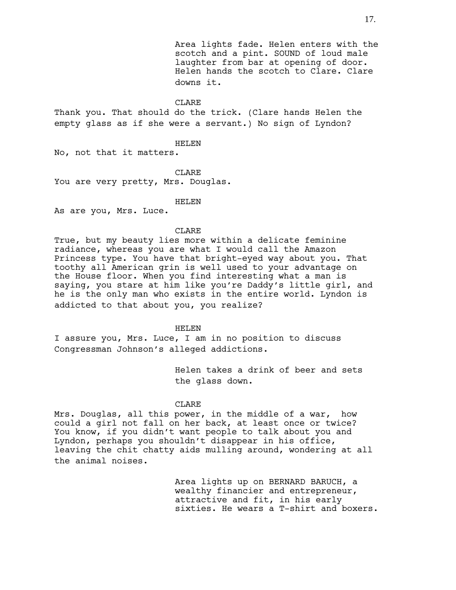Area lights fade. Helen enters with the scotch and a pint. SOUND of loud male laughter from bar at opening of door. Helen hands the scotch to Clare. Clare downs it.

## CLARE

Thank you. That should do the trick. (Clare hands Helen the empty glass as if she were a servant.) No sign of Lyndon?

## HELEN

No, not that it matters.

CLARE

You are very pretty, Mrs. Douglas.

HELEN

As are you, Mrs. Luce.

## CLARE

True, but my beauty lies more within a delicate feminine radiance, whereas you are what I would call the Amazon Princess type. You have that bright-eyed way about you. That toothy all American grin is well used to your advantage on the House floor. When you find interesting what a man is saying, you stare at him like you're Daddy's little girl, and he is the only man who exists in the entire world. Lyndon is addicted to that about you, you realize?

HELEN

I assure you, Mrs. Luce, I am in no position to discuss Congressman Johnson's alleged addictions.

> Helen takes a drink of beer and sets the glass down.

### CLARE

Mrs. Douglas, all this power, in the middle of a war, how could a girl not fall on her back, at least once or twice? You know, if you didn't want people to talk about you and Lyndon, perhaps you shouldn't disappear in his office, leaving the chit chatty aids mulling around, wondering at all the animal noises.

> Area lights up on BERNARD BARUCH, a wealthy financier and entrepreneur, attractive and fit, in his early sixties. He wears a T-shirt and boxers.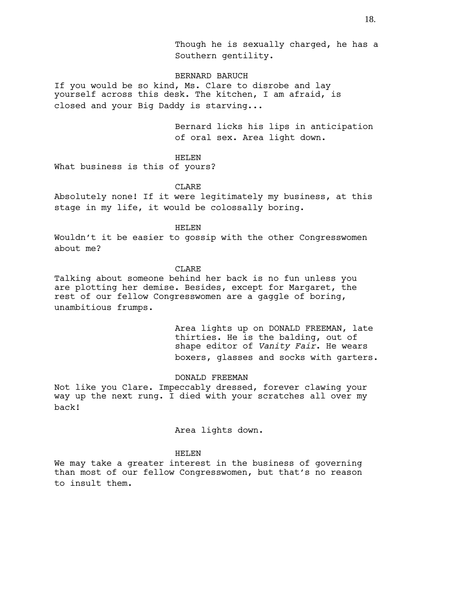Though he is sexually charged, he has a Southern gentility.

## BERNARD BARUCH

If you would be so kind, Ms. Clare to disrobe and lay yourself across this desk. The kitchen, I am afraid, is closed and your Big Daddy is starving...

> Bernard licks his lips in anticipation of oral sex. Area light down.

## HELEN

What business is this of yours?

## **CLARE**

Absolutely none! If it were legitimately my business, at this stage in my life, it would be colossally boring.

## HELEN

Wouldn't it be easier to gossip with the other Congresswomen about me?

## **CLARE**

Talking about someone behind her back is no fun unless you are plotting her demise. Besides, except for Margaret, the rest of our fellow Congresswomen are a gaggle of boring, unambitious frumps.

> Area lights up on DONALD FREEMAN, late thirties. He is the balding, out of shape editor of *Vanity Fair*. He wears boxers, glasses and socks with garters.

## DONALD FREEMAN

Not like you Clare. Impeccably dressed, forever clawing your way up the next rung. I died with your scratches all over my back!

### Area lights down.

## HELEN

We may take a greater interest in the business of governing than most of our fellow Congresswomen, but that's no reason to insult them.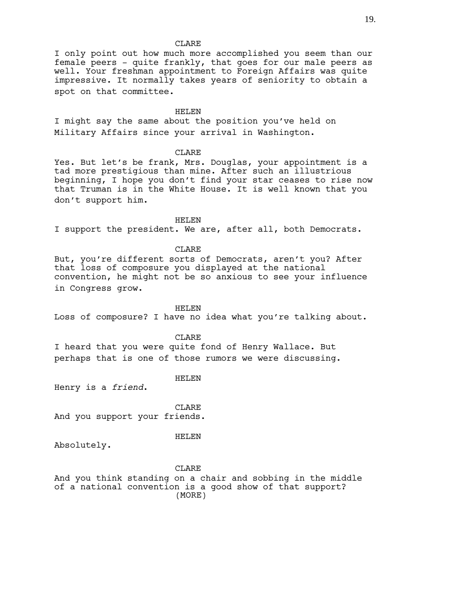I only point out how much more accomplished you seem than our female peers - quite frankly, that goes for our male peers as well. Your freshman appointment to Foreign Affairs was quite impressive. It normally takes years of seniority to obtain a spot on that committee.

### HELEN

I might say the same about the position you've held on Military Affairs since your arrival in Washington.

## CLARE

Yes. But let's be frank, Mrs. Douglas, your appointment is a tad more prestigious than mine. After such an illustrious beginning, I hope you don't find your star ceases to rise now that Truman is in the White House. It is well known that you don't support him.

HELEN

I support the president. We are, after all, both Democrats.

## CLARE

But, you're different sorts of Democrats, aren't you? After that loss of composure you displayed at the national convention, he might not be so anxious to see your influence in Congress grow.

HELEN

Loss of composure? I have no idea what you're talking about.

CLARE

I heard that you were quite fond of Henry Wallace. But perhaps that is one of those rumors we were discussing.

HELEN

Henry is a *friend*.

**CLARE** And you support your friends.

### HELEN

Absolutely.

CLARE

And you think standing on a chair and sobbing in the middle of a national convention is a good show of that support? (MORE)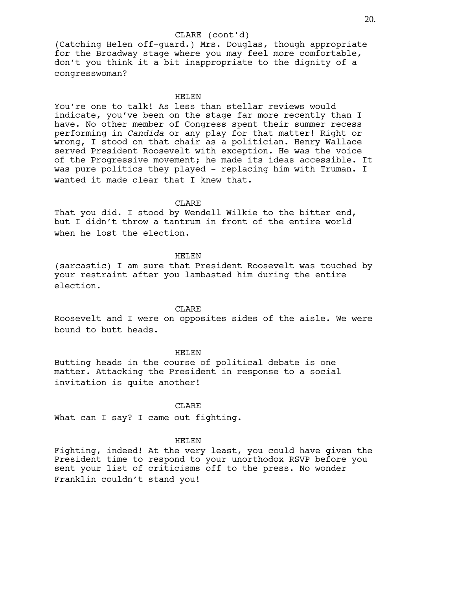## CLARE (cont'd)

(Catching Helen off-guard.) Mrs. Douglas, though appropriate for the Broadway stage where you may feel more comfortable, don't you think it a bit inappropriate to the dignity of a congresswoman?

### HELEN

You're one to talk! As less than stellar reviews would indicate, you've been on the stage far more recently than I have. No other member of Congress spent their summer recess performing in *Candida* or any play for that matter! Right or wrong, I stood on that chair as a politician. Henry Wallace served President Roosevelt with exception. He was the voice of the Progressive movement; he made its ideas accessible. It was pure politics they played - replacing him with Truman. I wanted it made clear that I knew that.

### CLARE

That you did. I stood by Wendell Wilkie to the bitter end, but I didn't throw a tantrum in front of the entire world when he lost the election.

## HELEN

(sarcastic) I am sure that President Roosevelt was touched by your restraint after you lambasted him during the entire election.

## **CLARE**

Roosevelt and I were on opposites sides of the aisle. We were bound to butt heads.

## HELEN

Butting heads in the course of political debate is one matter. Attacking the President in response to a social invitation is quite another!

## CLARE

What can I say? I came out fighting.

#### HELEN

Fighting, indeed! At the very least, you could have given the President time to respond to your unorthodox RSVP before you sent your list of criticisms off to the press. No wonder Franklin couldn't stand you!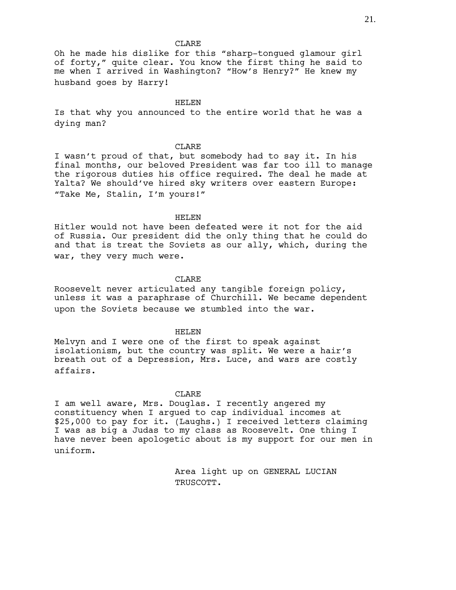Oh he made his dislike for this "sharp-tongued glamour girl of forty," quite clear. You know the first thing he said to me when I arrived in Washington? "How's Henry?" He knew my husband goes by Harry!

HELEN

Is that why you announced to the entire world that he was a dying man?

#### **CLARE**

I wasn't proud of that, but somebody had to say it. In his final months, our beloved President was far too ill to manage the rigorous duties his office required. The deal he made at Yalta? We should've hired sky writers over eastern Europe: "Take Me, Stalin, I'm yours!"

#### HELEN

Hitler would not have been defeated were it not for the aid of Russia. Our president did the only thing that he could do and that is treat the Soviets as our ally, which, during the war, they very much were.

### CLARE

Roosevelt never articulated any tangible foreign policy, unless it was a paraphrase of Churchill. We became dependent upon the Soviets because we stumbled into the war.

### HELEN

Melvyn and I were one of the first to speak against isolationism, but the country was split. We were a hair's breath out of a Depression, Mrs. Luce, and wars are costly affairs.

# **CLARE**

I am well aware, Mrs. Douglas. I recently angered my constituency when I argued to cap individual incomes at \$25,000 to pay for it. (Laughs.) I received letters claiming I was as big a Judas to my class as Roosevelt. One thing I have never been apologetic about is my support for our men in uniform.

> Area light up on GENERAL LUCIAN TRUSCOTT.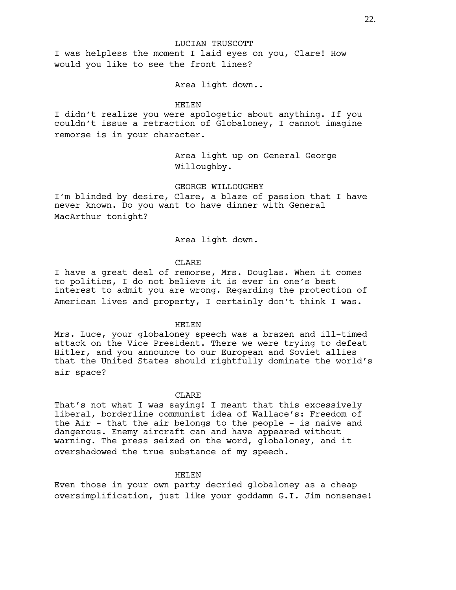LUCIAN TRUSCOTT

I was helpless the moment I laid eyes on you, Clare! How would you like to see the front lines?

Area light down..

## HELEN

I didn't realize you were apologetic about anything. If you couldn't issue a retraction of Globaloney, I cannot imagine remorse is in your character.

> Area light up on General George Willoughby.

GEORGE WILLOUGHBY

I'm blinded by desire, Clare, a blaze of passion that I have never known. Do you want to have dinner with General MacArthur tonight?

## Area light down.

# CLARE

I have a great deal of remorse, Mrs. Douglas. When it comes to politics, I do not believe it is ever in one's best interest to admit you are wrong. Regarding the protection of American lives and property, I certainly don't think I was.

## HELEN

Mrs. Luce, your globaloney speech was a brazen and ill-timed attack on the Vice President. There we were trying to defeat Hitler, and you announce to our European and Soviet allies that the United States should rightfully dominate the world's air space?

## CLARE.

That's not what I was saying! I meant that this excessively liberal, borderline communist idea of Wallace's: Freedom of the Air - that the air belongs to the people - is naive and dangerous. Enemy aircraft can and have appeared without warning. The press seized on the word, globaloney, and it overshadowed the true substance of my speech.

# HELEN

Even those in your own party decried globaloney as a cheap oversimplification, just like your goddamn G.I. Jim nonsense!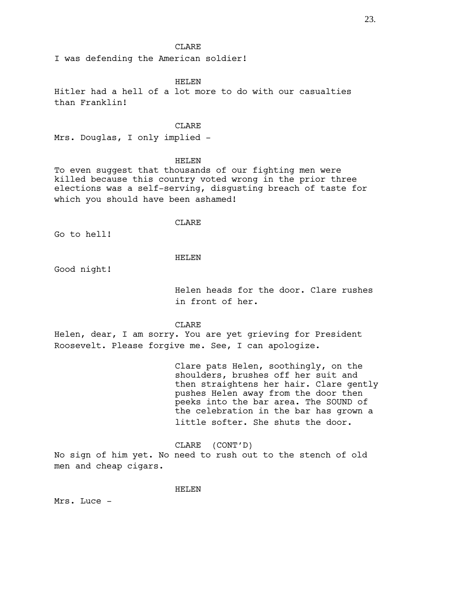I was defending the American soldier!

## HELEN

Hitler had a hell of a lot more to do with our casualties than Franklin!

#### CLARE

Mrs. Douglas, I only implied -

## HELEN

To even suggest that thousands of our fighting men were killed because this country voted wrong in the prior three elections was a self-serving, disgusting breach of taste for which you should have been ashamed!

## CLARE

Go to hell!

# HELEN

Good night!

Helen heads for the door. Clare rushes in front of her.

## CLARE

Helen, dear, I am sorry. You are yet grieving for President Roosevelt. Please forgive me. See, I can apologize.

> Clare pats Helen, soothingly, on the shoulders, brushes off her suit and then straightens her hair. Clare gently pushes Helen away from the door then peeks into the bar area. The SOUND of the celebration in the bar has grown a little softer. She shuts the door.

CLARE (CONT'D) No sign of him yet. No need to rush out to the stench of old men and cheap cigars.

### HELEN

Mrs. Luce -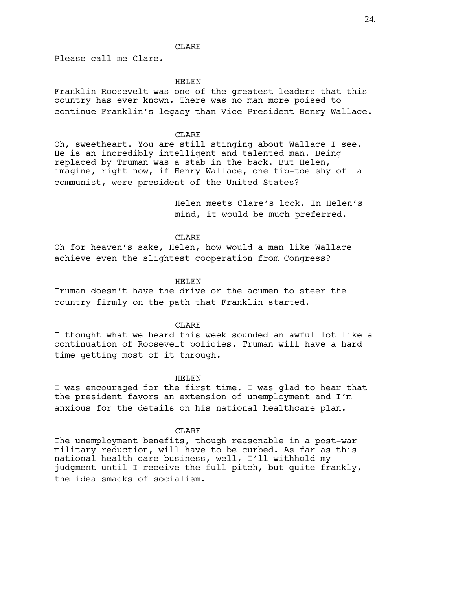Please call me Clare.

### HELEN

Franklin Roosevelt was one of the greatest leaders that this country has ever known. There was no man more poised to continue Franklin's legacy than Vice President Henry Wallace.

# CLARE

Oh, sweetheart. You are still stinging about Wallace I see. He is an incredibly intelligent and talented man. Being replaced by Truman was a stab in the back. But Helen, imagine, right now, if Henry Wallace, one tip-toe shy of a communist, were president of the United States?

> Helen meets Clare's look. In Helen's mind, it would be much preferred.

## CLARE

Oh for heaven's sake, Helen, how would a man like Wallace achieve even the slightest cooperation from Congress?

### HELEN

Truman doesn't have the drive or the acumen to steer the country firmly on the path that Franklin started.

### **CLARE**

I thought what we heard this week sounded an awful lot like a continuation of Roosevelt policies. Truman will have a hard time getting most of it through.

## HELEN

I was encouraged for the first time. I was glad to hear that the president favors an extension of unemployment and I'm anxious for the details on his national healthcare plan.

## CLARE

The unemployment benefits, though reasonable in a post-war military reduction, will have to be curbed. As far as this national health care business, well, I'll withhold my judgment until I receive the full pitch, but quite frankly, the idea smacks of socialism.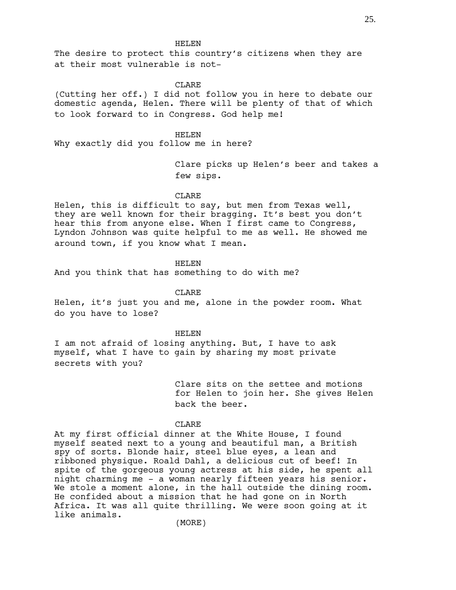The desire to protect this country's citizens when they are at their most vulnerable is not-

### CLARE

(Cutting her off.) I did not follow you in here to debate our domestic agenda, Helen. There will be plenty of that of which to look forward to in Congress. God help me!

HELEN Why exactly did you follow me in here?

> Clare picks up Helen's beer and takes a few sips.

## CLARE

Helen, this is difficult to say, but men from Texas well, they are well known for their bragging. It's best you don't hear this from anyone else. When I first came to Congress, Lyndon Johnson was quite helpful to me as well. He showed me around town, if you know what I mean.

## HELEN

And you think that has something to do with me?

CLARE

Helen, it's just you and me, alone in the powder room. What do you have to lose?

#### HELEN

I am not afraid of losing anything. But, I have to ask myself, what I have to gain by sharing my most private secrets with you?

> Clare sits on the settee and motions for Helen to join her. She gives Helen back the beer.

## CLARE

At my first official dinner at the White House, I found myself seated next to a young and beautiful man, a British spy of sorts. Blonde hair, steel blue eyes, a lean and ribboned physique. Roald Dahl, a delicious cut of beef! In spite of the gorgeous young actress at his side, he spent all night charming me - a woman nearly fifteen years his senior. We stole a moment alone, in the hall outside the dining room. He confided about a mission that he had gone on in North Africa. It was all quite thrilling. We were soon going at it like animals.

(MORE)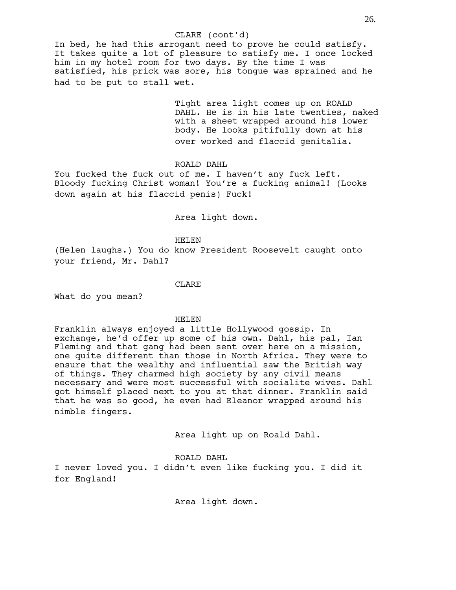## CLARE (cont'd)

In bed, he had this arrogant need to prove he could satisfy. It takes quite a lot of pleasure to satisfy me. I once locked him in my hotel room for two days. By the time I was satisfied, his prick was sore, his tongue was sprained and he had to be put to stall wet.

> Tight area light comes up on ROALD DAHL. He is in his late twenties, naked with a sheet wrapped around his lower body. He looks pitifully down at his over worked and flaccid genitalia.

ROALD DAHL

You fucked the fuck out of me. I haven't any fuck left. Bloody fucking Christ woman! You're a fucking animal! (Looks down again at his flaccid penis) Fuck!

Area light down.

HELEN

(Helen laughs.) You do know President Roosevelt caught onto your friend, Mr. Dahl?

CLARE

What do you mean?

## HELEN

Franklin always enjoyed a little Hollywood gossip. In exchange, he'd offer up some of his own. Dahl, his pal, Ian Fleming and that gang had been sent over here on a mission, one quite different than those in North Africa. They were to ensure that the wealthy and influential saw the British way of things. They charmed high society by any civil means necessary and were most successful with socialite wives. Dahl got himself placed next to you at that dinner. Franklin said that he was so good, he even had Eleanor wrapped around his nimble fingers.

Area light up on Roald Dahl.

ROALD DAHL

I never loved you. I didn't even like fucking you. I did it for England!

Area light down.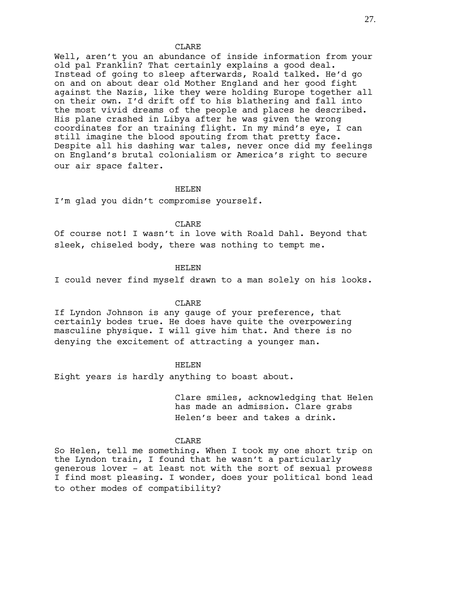Well, aren't you an abundance of inside information from your old pal Franklin? That certainly explains a good deal. Instead of going to sleep afterwards, Roald talked. He'd go on and on about dear old Mother England and her good fight against the Nazis, like they were holding Europe together all on their own. I'd drift off to his blathering and fall into the most vivid dreams of the people and places he described. His plane crashed in Libya after he was given the wrong coordinates for an training flight. In my mind's eye, I can still imagine the blood spouting from that pretty face. Despite all his dashing war tales, never once did my feelings on England's brutal colonialism or America's right to secure our air space falter.

## HELEN

I'm glad you didn't compromise yourself.

#### CLARE

Of course not! I wasn't in love with Roald Dahl. Beyond that sleek, chiseled body, there was nothing to tempt me.

## HELEN

I could never find myself drawn to a man solely on his looks.

### CLARE

If Lyndon Johnson is any gauge of your preference, that certainly bodes true. He does have quite the overpowering masculine physique. I will give him that. And there is no denying the excitement of attracting a younger man.

## HELEN

Eight years is hardly anything to boast about.

Clare smiles, acknowledging that Helen has made an admission. Clare grabs Helen's beer and takes a drink.

#### CLARE

So Helen, tell me something. When I took my one short trip on the Lyndon train, I found that he wasn't a particularly generous lover - at least not with the sort of sexual prowess I find most pleasing. I wonder, does your political bond lead to other modes of compatibility?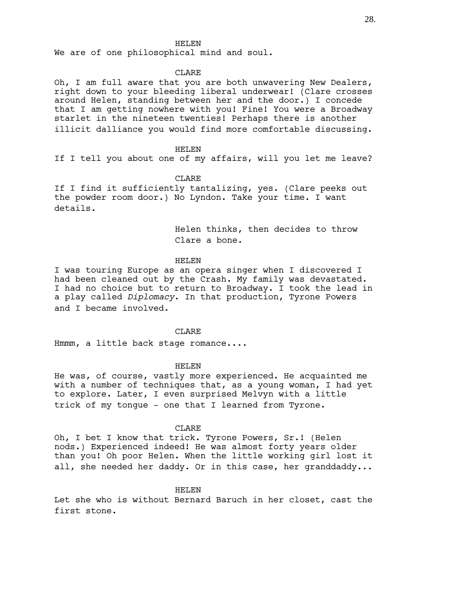We are of one philosophical mind and soul.

## CLARE

Oh, I am full aware that you are both unwavering New Dealers, right down to your bleeding liberal underwear! (Clare crosses around Helen, standing between her and the door.) I concede that I am getting nowhere with you! Fine! You were a Broadway starlet in the nineteen twenties! Perhaps there is another illicit dalliance you would find more comfortable discussing.

#### HELEN

If I tell you about one of my affairs, will you let me leave?

### CLARE

If I find it sufficiently tantalizing, yes. (Clare peeks out the powder room door.) No Lyndon. Take your time. I want details.

> Helen thinks, then decides to throw Clare a bone.

## HELEN

I was touring Europe as an opera singer when I discovered I had been cleaned out by the Crash. My family was devastated. I had no choice but to return to Broadway. I took the lead in a play called *Diplomacy*. In that production, Tyrone Powers and I became involved.

## CLARE

Hmmm, a little back stage romance....

### HELEN

He was, of course, vastly more experienced. He acquainted me with a number of techniques that, as a young woman, I had yet to explore. Later, I even surprised Melvyn with a little trick of my tongue - one that I learned from Tyrone.

#### CLARE

Oh, I bet I know that trick. Tyrone Powers, Sr.! (Helen nods.) Experienced indeed! He was almost forty years older than you! Oh poor Helen. When the little working girl lost it all, she needed her daddy. Or in this case, her granddaddy...

### HELEN

Let she who is without Bernard Baruch in her closet, cast the first stone.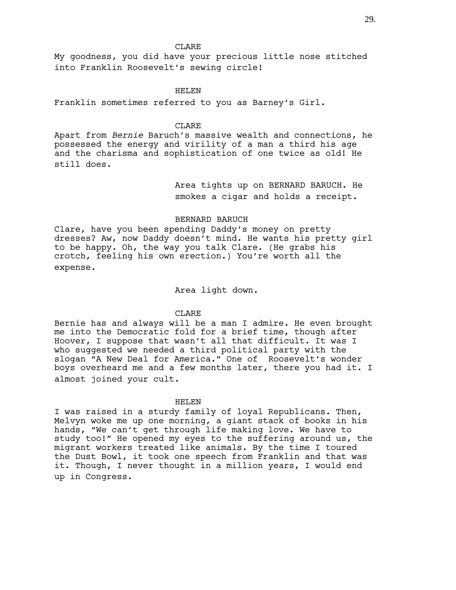My goodness, you did have your precious little nose stitched into Franklin Roosevelt's sewing circle!

## HELEN

Franklin sometimes referred to you as Barney's Girl.

### CLARE

Apart from *Bernie* Baruch's massive wealth and connections, he possessed the energy and virility of a man a third his age and the charisma and sophistication of one twice as old! He still does.

> Area tights up on BERNARD BARUCH. He smokes a cigar and holds a receipt.

### BERNARD BARUCH

Clare, have you been spending Daddy's money on pretty dresses? Aw, now Daddy doesn't mind. He wants his pretty girl to be happy. Oh, the way you talk Clare. (He grabs his crotch, feeling his own erection.) You're worth all the expense.

Area light down.

## CLARE

Bernie has and always will be a man I admire. He even brought me into the Democratic fold for a brief time, though after Hoover, I suppose that wasn't all that difficult. It was I who suggested we needed a third political party with the slogan "A New Deal for America." One of Roosevelt's wonder boys overheard me and a few months later, there you had it. I almost joined your cult.

## HELEN

I was raised in a sturdy family of loyal Republicans. Then, Melvyn woke me up one morning, a giant stack of books in his hands, "We can't get through life making love. We have to study too!" He opened my eyes to the suffering around us, the migrant workers treated like animals. By the time I toured the Dust Bowl, it took one speech from Franklin and that was it. Though, I never thought in a million years, I would end up in Congress.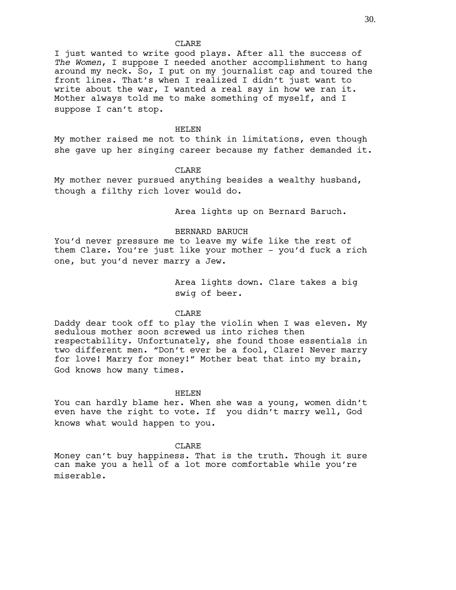I just wanted to write good plays. After all the success of *The Women*, I suppose I needed another accomplishment to hang around my neck. So, I put on my journalist cap and toured the front lines. That's when I realized I didn't just want to write about the war, I wanted a real say in how we ran it. Mother always told me to make something of myself, and I suppose I can't stop.

#### HELEN

My mother raised me not to think in limitations, even though she gave up her singing career because my father demanded it.

### CLARE

My mother never pursued anything besides a wealthy husband, though a filthy rich lover would do.

Area lights up on Bernard Baruch.

### BERNARD BARUCH

You'd never pressure me to leave my wife like the rest of them Clare. You're just like your mother - you'd fuck a rich one, but you'd never marry a Jew.

> Area lights down. Clare takes a big swig of beer.

## CLARE

Daddy dear took off to play the violin when I was eleven. My sedulous mother soon screwed us into riches then respectability. Unfortunately, she found those essentials in two different men. "Don't ever be a fool, Clare! Never marry for love! Marry for money!" Mother beat that into my brain, God knows how many times.

#### HELEN

You can hardly blame her. When she was a young, women didn't even have the right to vote. If you didn't marry well, God knows what would happen to you.

### CLARE

Money can't buy happiness. That is the truth. Though it sure can make you a hell of a lot more comfortable while you're miserable.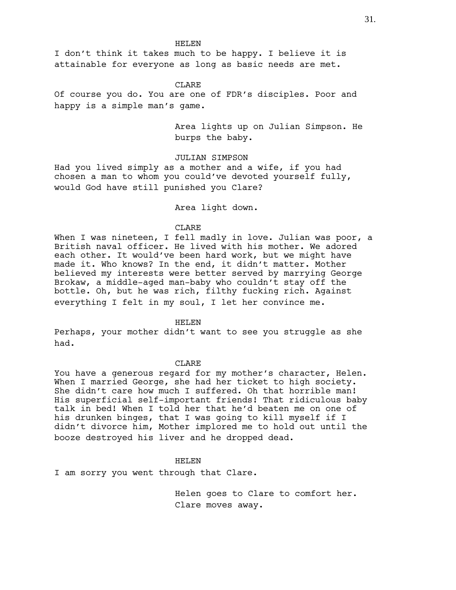I don't think it takes much to be happy. I believe it is attainable for everyone as long as basic needs are met.

#### CLARE

Of course you do. You are one of FDR's disciples. Poor and happy is a simple man's game.

> Area lights up on Julian Simpson. He burps the baby.

JULIAN SIMPSON

Had you lived simply as a mother and a wife, if you had chosen a man to whom you could've devoted yourself fully, would God have still punished you Clare?

Area light down.

## CLARE

When I was nineteen, I fell madly in love. Julian was poor, a British naval officer. He lived with his mother. We adored each other. It would've been hard work, but we might have made it. Who knows? In the end, it didn't matter. Mother believed my interests were better served by marrying George Brokaw, a middle-aged man-baby who couldn't stay off the bottle. Oh, but he was rich, filthy fucking rich. Against everything I felt in my soul, I let her convince me.

HELEN

Perhaps, your mother didn't want to see you struggle as she had.

#### CLARE

You have a generous regard for my mother's character, Helen. When I married George, she had her ticket to high society. She didn't care how much I suffered. Oh that horrible man! His superficial self-important friends! That ridiculous baby talk in bed! When I told her that he'd beaten me on one of his drunken binges, that I was going to kill myself if I didn't divorce him, Mother implored me to hold out until the booze destroyed his liver and he dropped dead.

# HELEN

I am sorry you went through that Clare.

Helen goes to Clare to comfort her. Clare moves away.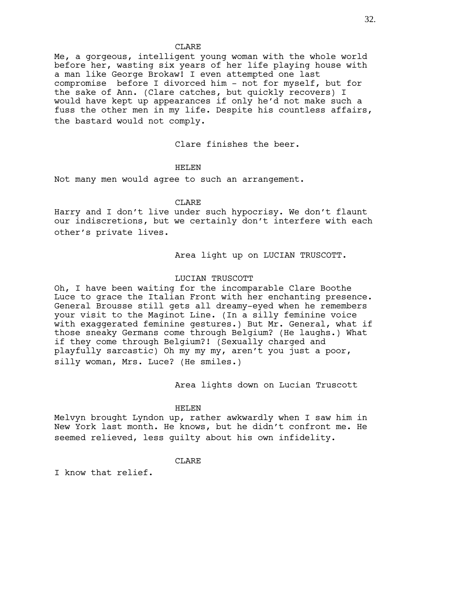Me, a gorgeous, intelligent young woman with the whole world before her, wasting six years of her life playing house with a man like George Brokaw! I even attempted one last compromise before I divorced him - not for myself, but for the sake of Ann. (Clare catches, but quickly recovers) I would have kept up appearances if only he'd not make such a fuss the other men in my life. Despite his countless affairs, the bastard would not comply.

Clare finishes the beer.

## HELEN

Not many men would agree to such an arrangement.

## **CLARE**

Harry and I don't live under such hypocrisy. We don't flaunt our indiscretions, but we certainly don't interfere with each other's private lives.

Area light up on LUCIAN TRUSCOTT.

# LUCIAN TRUSCOTT

Oh, I have been waiting for the incomparable Clare Boothe Luce to grace the Italian Front with her enchanting presence. General Brousse still gets all dreamy-eyed when he remembers your visit to the Maginot Line. (In a silly feminine voice with exaggerated feminine gestures.) But Mr. General, what if those sneaky Germans come through Belgium? (He laughs.) What if they come through Belgium?! (Sexually charged and playfully sarcastic) Oh my my my, aren't you just a poor, silly woman, Mrs. Luce? (He smiles.)

Area lights down on Lucian Truscott

## HELEN

Melvyn brought Lyndon up, rather awkwardly when I saw him in New York last month. He knows, but he didn't confront me. He seemed relieved, less guilty about his own infidelity.

## **CLARE**

I know that relief.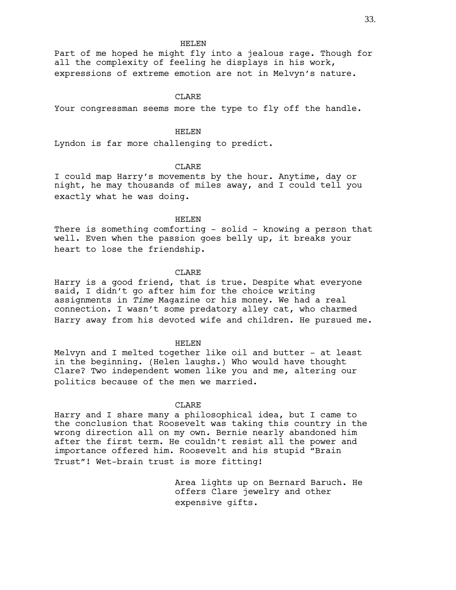Part of me hoped he might fly into a jealous rage. Though for all the complexity of feeling he displays in his work, expressions of extreme emotion are not in Melvyn's nature.

## **CLARE**

Your congressman seems more the type to fly off the handle.

# HELEN

Lyndon is far more challenging to predict.

## **CLARE**

I could map Harry's movements by the hour. Anytime, day or night, he may thousands of miles away, and I could tell you exactly what he was doing.

HELEN

There is something comforting - solid - knowing a person that well. Even when the passion goes belly up, it breaks your heart to lose the friendship.

## CLARE

Harry is a good friend, that is true. Despite what everyone said, I didn't go after him for the choice writing assignments in *Time* Magazine or his money. We had a real connection. I wasn't some predatory alley cat, who charmed Harry away from his devoted wife and children. He pursued me.

#### HELEN

Melvyn and I melted together like oil and butter - at least in the beginning. (Helen laughs.) Who would have thought Clare? Two independent women like you and me, altering our politics because of the men we married.

## CLARE

Harry and I share many a philosophical idea, but I came to the conclusion that Roosevelt was taking this country in the wrong direction all on my own. Bernie nearly abandoned him after the first term. He couldn't resist all the power and importance offered him. Roosevelt and his stupid "Brain Trust"! Wet-brain trust is more fitting!

> Area lights up on Bernard Baruch. He offers Clare jewelry and other expensive gifts.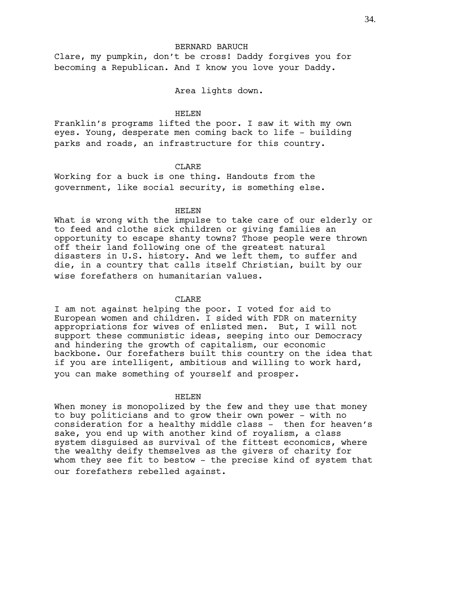Clare, my pumpkin, don't be cross! Daddy forgives you for becoming a Republican. And I know you love your Daddy.

## Area lights down.

## HELEN

Franklin's programs lifted the poor. I saw it with my own eyes. Young, desperate men coming back to life - building parks and roads, an infrastructure for this country.

## CLARE.

Working for a buck is one thing. Handouts from the government, like social security, is something else.

# HELEN

What is wrong with the impulse to take care of our elderly or to feed and clothe sick children or giving families an opportunity to escape shanty towns? Those people were thrown off their land following one of the greatest natural disasters in U.S. history. And we left them, to suffer and die, in a country that calls itself Christian, built by our wise forefathers on humanitarian values.

## CLARE

I am not against helping the poor. I voted for aid to European women and children. I sided with FDR on maternity appropriations for wives of enlisted men. But, I will not support these communistic ideas, seeping into our Democracy and hindering the growth of capitalism, our economic backbone. Our forefathers built this country on the idea that if you are intelligent, ambitious and willing to work hard, you can make something of yourself and prosper.

## HELEN

When money is monopolized by the few and they use that money to buy politicians and to grow their own power - with no consideration for a healthy middle class - then for heaven's sake, you end up with another kind of royalism, a class system disguised as survival of the fittest economics, where the wealthy deify themselves as the givers of charity for whom they see fit to bestow - the precise kind of system that our forefathers rebelled against.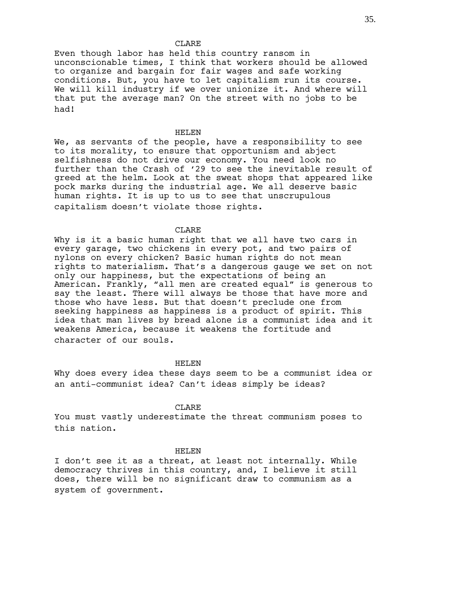Even though labor has held this country ransom in unconscionable times, I think that workers should be allowed to organize and bargain for fair wages and safe working conditions. But, you have to let capitalism run its course. We will kill industry if we over unionize it. And where will that put the average man? On the street with no jobs to be had!

### HELEN

We, as servants of the people, have a responsibility to see to its morality, to ensure that opportunism and abject selfishness do not drive our economy. You need look no further than the Crash of '29 to see the inevitable result of greed at the helm. Look at the sweat shops that appeared like pock marks during the industrial age. We all deserve basic human rights. It is up to us to see that unscrupulous capitalism doesn't violate those rights.

## CLARE

Why is it a basic human right that we all have two cars in every garage, two chickens in every pot, and two pairs of nylons on every chicken? Basic human rights do not mean rights to materialism. That's a dangerous gauge we set on not only our happiness, but the expectations of being an American. Frankly, "all men are created equal" is generous to say the least. There will always be those that have more and those who have less. But that doesn't preclude one from seeking happiness as happiness is a product of spirit. This idea that man lives by bread alone is a communist idea and it weakens America, because it weakens the fortitude and character of our souls.

#### HELEN

Why does every idea these days seem to be a communist idea or an anti-communist idea? Can't ideas simply be ideas?

## CLARE.

You must vastly underestimate the threat communism poses to this nation.

## HELEN

I don't see it as a threat, at least not internally. While democracy thrives in this country, and, I believe it still does, there will be no significant draw to communism as a system of government.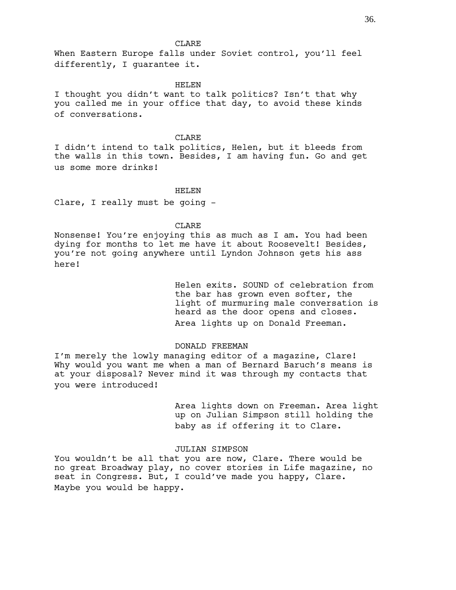When Eastern Europe falls under Soviet control, you'll feel differently, I guarantee it.

#### HELEN

I thought you didn't want to talk politics? Isn't that why you called me in your office that day, to avoid these kinds of conversations.

### CLARE

I didn't intend to talk politics, Helen, but it bleeds from the walls in this town. Besides, I am having fun. Go and get us some more drinks!

## HELEN

Clare, I really must be going -

# CLARE

Nonsense! You're enjoying this as much as I am. You had been dying for months to let me have it about Roosevelt! Besides, you're not going anywhere until Lyndon Johnson gets his ass here!

> Helen exits. SOUND of celebration from the bar has grown even softer, the light of murmuring male conversation is heard as the door opens and closes. Area lights up on Donald Freeman.

### DONALD FREEMAN

I'm merely the lowly managing editor of a magazine, Clare! Why would you want me when a man of Bernard Baruch's means is at your disposal? Never mind it was through my contacts that you were introduced!

> Area lights down on Freeman. Area light up on Julian Simpson still holding the baby as if offering it to Clare.

## JULIAN SIMPSON

You wouldn't be all that you are now, Clare. There would be no great Broadway play, no cover stories in Life magazine, no seat in Congress. But, I could've made you happy, Clare. Maybe you would be happy.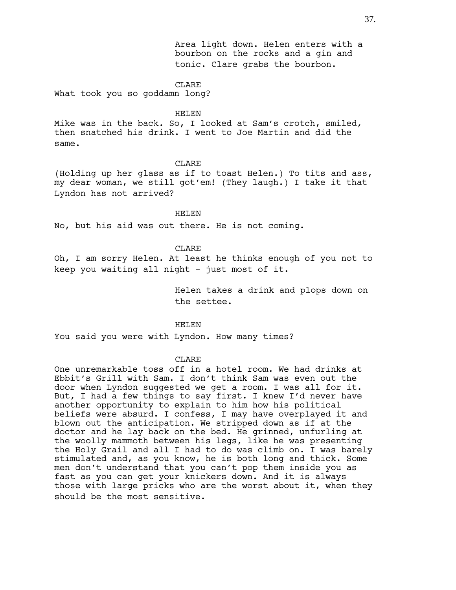Area light down. Helen enters with a bourbon on the rocks and a gin and tonic. Clare grabs the bourbon.

#### CLARE

What took you so goddamn long?

### HELEN

Mike was in the back. So, I looked at Sam's crotch, smiled, then snatched his drink. I went to Joe Martin and did the same.

# CLARE

(Holding up her glass as if to toast Helen.) To tits and ass, my dear woman, we still got'em! (They laugh.) I take it that Lyndon has not arrived?

# HELEN

No, but his aid was out there. He is not coming.

## CLARE

Oh, I am sorry Helen. At least he thinks enough of you not to keep you waiting all night - just most of it.

> Helen takes a drink and plops down on the settee.

## HELEN

You said you were with Lyndon. How many times?

## CLARE

One unremarkable toss off in a hotel room. We had drinks at Ebbit's Grill with Sam. I don't think Sam was even out the door when Lyndon suggested we get a room. I was all for it. But, I had a few things to say first. I knew I'd never have another opportunity to explain to him how his political beliefs were absurd. I confess, I may have overplayed it and blown out the anticipation. We stripped down as if at the doctor and he lay back on the bed. He grinned, unfurling at the woolly mammoth between his legs, like he was presenting the Holy Grail and all I had to do was climb on. I was barely stimulated and, as you know, he is both long and thick. Some men don't understand that you can't pop them inside you as fast as you can get your knickers down. And it is always those with large pricks who are the worst about it, when they should be the most sensitive.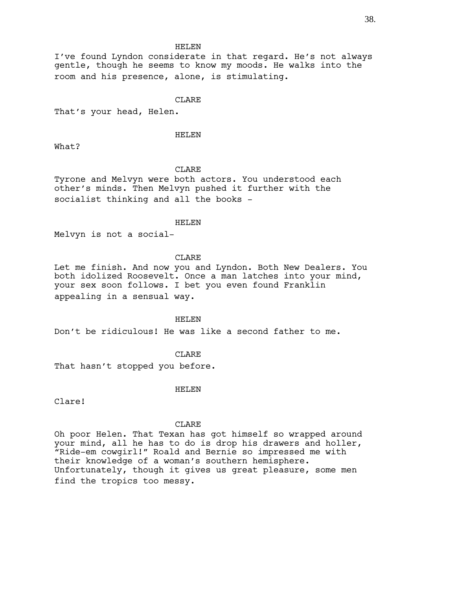I've found Lyndon considerate in that regard. He's not always gentle, though he seems to know my moods. He walks into the room and his presence, alone, is stimulating.

# CLARE

That's your head, Helen.

# HELEN

What?

## CLARE

Tyrone and Melvyn were both actors. You understood each other's minds. Then Melvyn pushed it further with the socialist thinking and all the books -

## HELEN

Melvyn is not a social-

## CLARE

Let me finish. And now you and Lyndon. Both New Dealers. You both idolized Roosevelt. Once a man latches into your mind, your sex soon follows. I bet you even found Franklin appealing in a sensual way.

#### HELEN

Don't be ridiculous! He was like a second father to me.

## **CLARE**

That hasn't stopped you before.

## HELEN

Clare!

### CLARE

Oh poor Helen. That Texan has got himself so wrapped around your mind, all he has to do is drop his drawers and holler, "Ride-em cowgirl!" Roald and Bernie so impressed me with their knowledge of a woman's southern hemisphere. Unfortunately, though it gives us great pleasure, some men find the tropics too messy.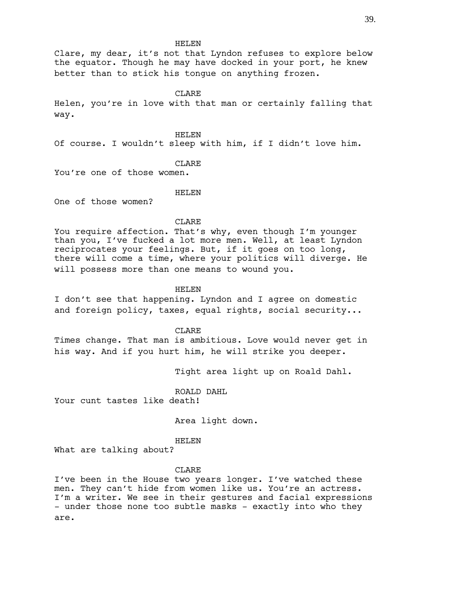Clare, my dear, it's not that Lyndon refuses to explore below the equator. Though he may have docked in your port, he knew better than to stick his tongue on anything frozen.

#### CLARE

Helen, you're in love with that man or certainly falling that way.

HELEN

Of course. I wouldn't sleep with him, if I didn't love him.

## **CLARE**

You're one of those women.

## HELEN

One of those women?

#### CLARE

You require affection. That's why, even though I'm younger than you, I've fucked a lot more men. Well, at least Lyndon reciprocates your feelings. But, if it goes on too long, there will come a time, where your politics will diverge. He will possess more than one means to wound you.

## HELEN

I don't see that happening. Lyndon and I agree on domestic and foreign policy, taxes, equal rights, social security...

CLARE

Times change. That man is ambitious. Love would never get in his way. And if you hurt him, he will strike you deeper.

Tight area light up on Roald Dahl.

ROALD DAHL

Your cunt tastes like death!

Area light down.

### HELEN

What are talking about?

#### CLARE

I've been in the House two years longer. I've watched these men. They can't hide from women like us. You're an actress. I'm a writer. We see in their gestures and facial expressions - under those none too subtle masks - exactly into who they are.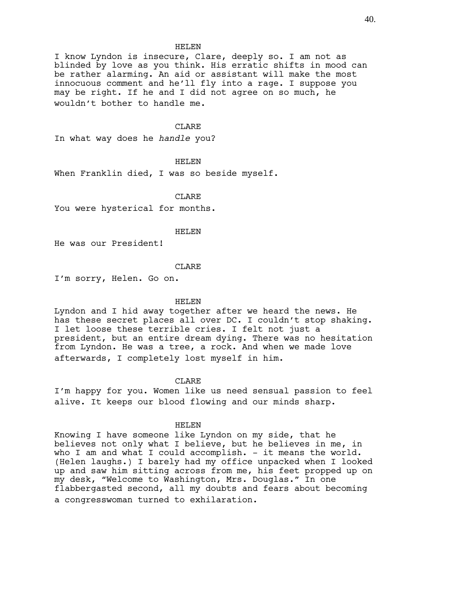I know Lyndon is insecure, Clare, deeply so. I am not as blinded by love as you think. His erratic shifts in mood can be rather alarming. An aid or assistant will make the most innocuous comment and he'll fly into a rage. I suppose you may be right. If he and I did not agree on so much, he wouldn't bother to handle me.

## CLARE

In what way does he *handle* you?

## HELEN

When Franklin died, I was so beside myself.

CLARE

You were hysterical for months.

#### HELEN

He was our President!

#### CLARE

I'm sorry, Helen. Go on.

#### HELEN

Lyndon and I hid away together after we heard the news. He has these secret places all over DC. I couldn't stop shaking. I let loose these terrible cries. I felt not just a president, but an entire dream dying. There was no hesitation from Lyndon. He was a tree, a rock. And when we made love afterwards, I completely lost myself in him.

## CLARE

I'm happy for you. Women like us need sensual passion to feel alive. It keeps our blood flowing and our minds sharp.

## HELEN

Knowing I have someone like Lyndon on my side, that he believes not only what I believe, but he believes in me, in who I am and what I could accomplish.  $-$  it means the world. (Helen laughs.) I barely had my office unpacked when I looked up and saw him sitting across from me, his feet propped up on my desk, "Welcome to Washington, Mrs. Douglas." In one flabbergasted second, all my doubts and fears about becoming a congresswoman turned to exhilaration.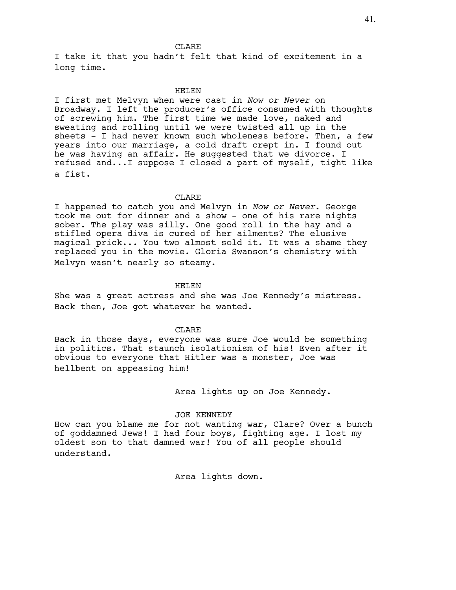I take it that you hadn't felt that kind of excitement in a long time.

## HELEN

I first met Melvyn when were cast in *Now or Never* on Broadway. I left the producer's office consumed with thoughts of screwing him. The first time we made love, naked and sweating and rolling until we were twisted all up in the sheets - I had never known such wholeness before. Then, a few years into our marriage, a cold draft crept in. I found out he was having an affair. He suggested that we divorce. I refused and...I suppose I closed a part of myself, tight like a fist.

CLARE

I happened to catch you and Melvyn in *Now or Never*. George took me out for dinner and a show - one of his rare nights sober. The play was silly. One good roll in the hay and a stifled opera diva is cured of her ailments? The elusive magical prick... You two almost sold it. It was a shame they replaced you in the movie. Gloria Swanson's chemistry with Melvyn wasn't nearly so steamy.

### HELEN

She was a great actress and she was Joe Kennedy's mistress. Back then, Joe got whatever he wanted.

#### CLARE

Back in those days, everyone was sure Joe would be something in politics. That staunch isolationism of his! Even after it obvious to everyone that Hitler was a monster, Joe was hellbent on appeasing him!

Area lights up on Joe Kennedy.

## JOE KENNEDY

How can you blame me for not wanting war, Clare? Over a bunch of goddamned Jews! I had four boys, fighting age. I lost my oldest son to that damned war! You of all people should understand.

Area lights down.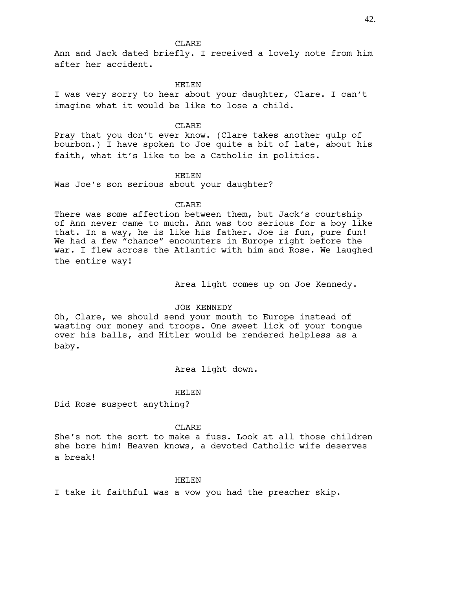Ann and Jack dated briefly. I received a lovely note from him after her accident.

### HELEN

I was very sorry to hear about your daughter, Clare. I can't imagine what it would be like to lose a child.

### CLARE

Pray that you don't ever know. (Clare takes another gulp of bourbon.) I have spoken to Joe quite a bit of late, about his faith, what it's like to be a Catholic in politics.

## HELEN

Was Joe's son serious about your daughter?

## CLARE

There was some affection between them, but Jack's courtship of Ann never came to much. Ann was too serious for a boy like that. In a way, he is like his father. Joe is fun, pure fun! We had a few "chance" encounters in Europe right before the war. I flew across the Atlantic with him and Rose. We laughed the entire way!

Area light comes up on Joe Kennedy.

### JOE KENNEDY

Oh, Clare, we should send your mouth to Europe instead of wasting our money and troops. One sweet lick of your tongue over his balls, and Hitler would be rendered helpless as a baby.

## Area light down.

### HELEN

Did Rose suspect anything?

### CLARE

She's not the sort to make a fuss. Look at all those children she bore him! Heaven knows, a devoted Catholic wife deserves a break!

## HELEN

I take it faithful was a vow you had the preacher skip.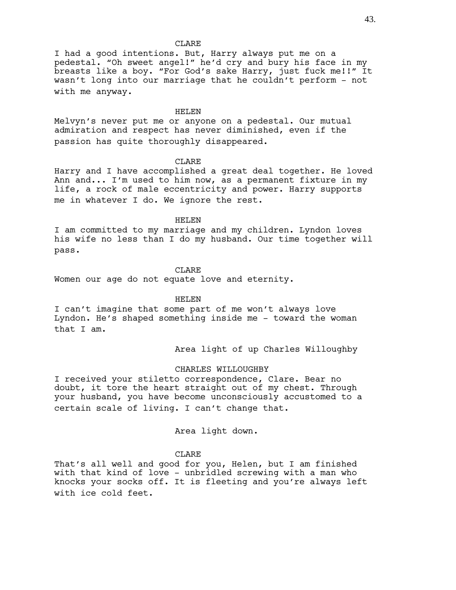I had a good intentions. But, Harry always put me on a pedestal. "Oh sweet angel!" he'd cry and bury his face in my breasts like a boy. "For God's sake Harry, just fuck me!!" It wasn't long into our marriage that he couldn't perform - not with me anyway.

## HELEN

Melvyn's never put me or anyone on a pedestal. Our mutual admiration and respect has never diminished, even if the passion has quite thoroughly disappeared.

## CLARE

Harry and I have accomplished a great deal together. He loved Ann and... I'm used to him now, as a permanent fixture in my life, a rock of male eccentricity and power. Harry supports me in whatever I do. We ignore the rest.

### HELEN

I am committed to my marriage and my children. Lyndon loves his wife no less than I do my husband. Our time together will pass.

## CLARE.

Women our age do not equate love and eternity.

## HELEN

I can't imagine that some part of me won't always love Lyndon. He's shaped something inside me - toward the woman that I am.

Area light of up Charles Willoughby

# CHARLES WILLOUGHBY

I received your stiletto correspondence, Clare. Bear no doubt, it tore the heart straight out of my chest. Through your husband, you have become unconsciously accustomed to a certain scale of living. I can't change that.

# Area light down.

## CLARE

That's all well and good for you, Helen, but I am finished with that kind of love - unbridled screwing with a man who knocks your socks off. It is fleeting and you're always left with ice cold feet.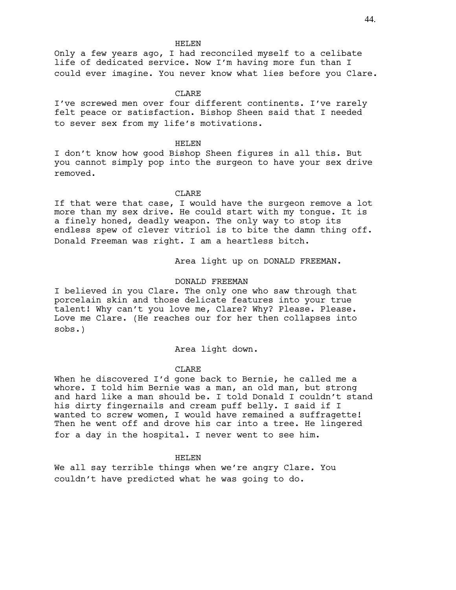Only a few years ago, I had reconciled myself to a celibate life of dedicated service. Now I'm having more fun than I could ever imagine. You never know what lies before you Clare.

## CLARE

I've screwed men over four different continents. I've rarely felt peace or satisfaction. Bishop Sheen said that I needed to sever sex from my life's motivations.

## HELEN

I don't know how good Bishop Sheen figures in all this. But you cannot simply pop into the surgeon to have your sex drive removed.

## CLARE

If that were that case, I would have the surgeon remove a lot more than my sex drive. He could start with my tongue. It is a finely honed, deadly weapon. The only way to stop its endless spew of clever vitriol is to bite the damn thing off. Donald Freeman was right. I am a heartless bitch.

Area light up on DONALD FREEMAN.

### DONALD FREEMAN

I believed in you Clare. The only one who saw through that porcelain skin and those delicate features into your true talent! Why can't you love me, Clare? Why? Please. Please. Love me Clare. (He reaches our for her then collapses into sobs.)

## Area light down.

## CLARE

When he discovered I'd gone back to Bernie, he called me a whore. I told him Bernie was a man, an old man, but strong and hard like a man should be. I told Donald I couldn't stand his dirty fingernails and cream puff belly. I said if I wanted to screw women, I would have remained a suffragette! Then he went off and drove his car into a tree. He lingered for a day in the hospital. I never went to see him.

### HELEN

We all say terrible things when we're angry Clare. You couldn't have predicted what he was going to do.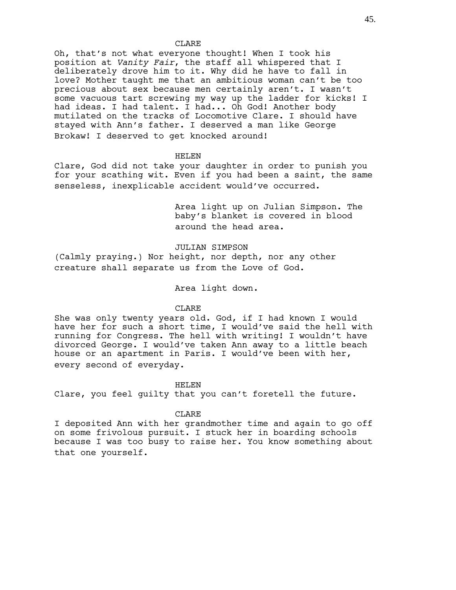Oh, that's not what everyone thought! When I took his position at *Vanity Fair*, the staff all whispered that I deliberately drove him to it. Why did he have to fall in love? Mother taught me that an ambitious woman can't be too precious about sex because men certainly aren't. I wasn't some vacuous tart screwing my way up the ladder for kicks! I had ideas. I had talent. I had... Oh God! Another body mutilated on the tracks of Locomotive Clare. I should have stayed with Ann's father. I deserved a man like George Brokaw! I deserved to get knocked around!

## HELEN

Clare, God did not take your daughter in order to punish you for your scathing wit. Even if you had been a saint, the same senseless, inexplicable accident would've occurred.

> Area light up on Julian Simpson. The baby's blanket is covered in blood around the head area.

## JULIAN SIMPSON

(Calmly praying.) Nor height, nor depth, nor any other creature shall separate us from the Love of God.

## Area light down.

## CLARE

She was only twenty years old. God, if I had known I would have her for such a short time, I would've said the hell with running for Congress. The hell with writing! I wouldn't have divorced George. I would've taken Ann away to a little beach house or an apartment in Paris. I would've been with her, every second of everyday.

### HELEN

Clare, you feel guilty that you can't foretell the future.

#### CLARE

I deposited Ann with her grandmother time and again to go off on some frivolous pursuit. I stuck her in boarding schools because I was too busy to raise her. You know something about that one yourself.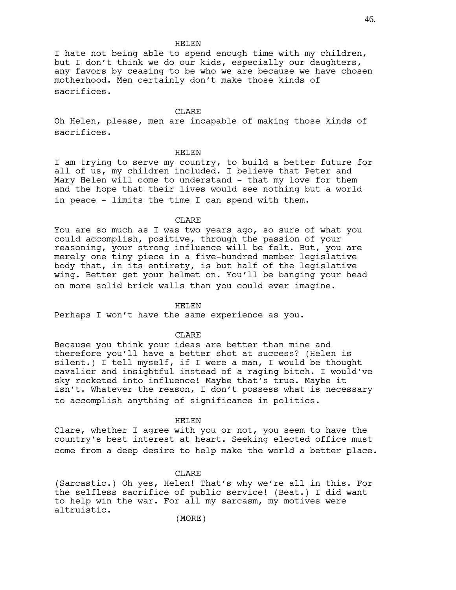I hate not being able to spend enough time with my children, but I don't think we do our kids, especially our daughters, any favors by ceasing to be who we are because we have chosen motherhood. Men certainly don't make those kinds of sacrifices.

### CLARE

Oh Helen, please, men are incapable of making those kinds of sacrifices.

## HELEN

I am trying to serve my country, to build a better future for all of us, my children included. I believe that Peter and Mary Helen will come to understand - that my love for them and the hope that their lives would see nothing but a world in peace - limits the time I can spend with them.

### CLARE

You are so much as I was two years ago, so sure of what you could accomplish, positive, through the passion of your reasoning, your strong influence will be felt. But, you are merely one tiny piece in a five-hundred member legislative body that, in its entirety, is but half of the legislative wing. Better get your helmet on. You'll be banging your head on more solid brick walls than you could ever imagine.

#### HELEN

Perhaps I won't have the same experience as you.

### CLARE

Because you think your ideas are better than mine and therefore you'll have a better shot at success? (Helen is silent.) I tell myself, if I were a man, I would be thought cavalier and insightful instead of a raging bitch. I would've sky rocketed into influence! Maybe that's true. Maybe it isn't. Whatever the reason, I don't possess what is necessary to accomplish anything of significance in politics.

### HELEN

Clare, whether I agree with you or not, you seem to have the country's best interest at heart. Seeking elected office must come from a deep desire to help make the world a better place.

### CLARE

(Sarcastic.) Oh yes, Helen! That's why we're all in this. For the selfless sacrifice of public service! (Beat.) I did want to help win the war. For all my sarcasm, my motives were altruistic.

46.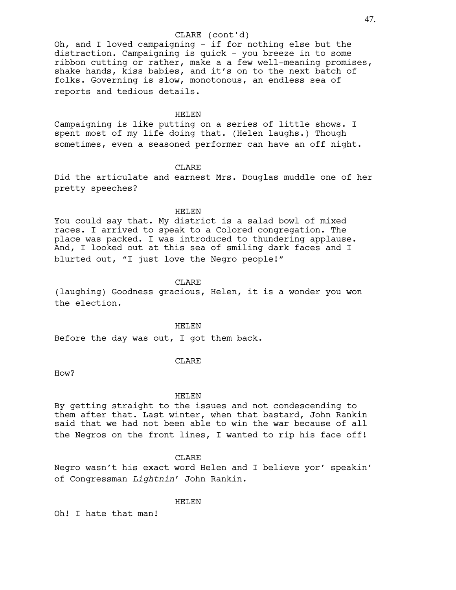# CLARE (cont'd)

Oh, and I loved campaigning - if for nothing else but the distraction. Campaigning is quick - you breeze in to some ribbon cutting or rather, make a a few well-meaning promises, shake hands, kiss babies, and it's on to the next batch of folks. Governing is slow, monotonous, an endless sea of reports and tedious details.

## HELEN

Campaigning is like putting on a series of little shows. I spent most of my life doing that. (Helen laughs.) Though sometimes, even a seasoned performer can have an off night.

## CLARE

Did the articulate and earnest Mrs. Douglas muddle one of her pretty speeches?

## HELEN

You could say that. My district is a salad bowl of mixed races. I arrived to speak to a Colored congregation. The place was packed. I was introduced to thundering applause. And, I looked out at this sea of smiling dark faces and I blurted out, "I just love the Negro people!"

#### CLARE

(laughing) Goodness gracious, Helen, it is a wonder you won the election.

### HELEN

Before the day was out, I got them back.

# CLARE

How?

### HELEN

By getting straight to the issues and not condescending to them after that. Last winter, when that bastard, John Rankin said that we had not been able to win the war because of all the Negros on the front lines, I wanted to rip his face off!

## CLARE

Negro wasn't his exact word Helen and I believe yor' speakin' of Congressman *Lightnin*' John Rankin.

#### HELEN

Oh! I hate that man!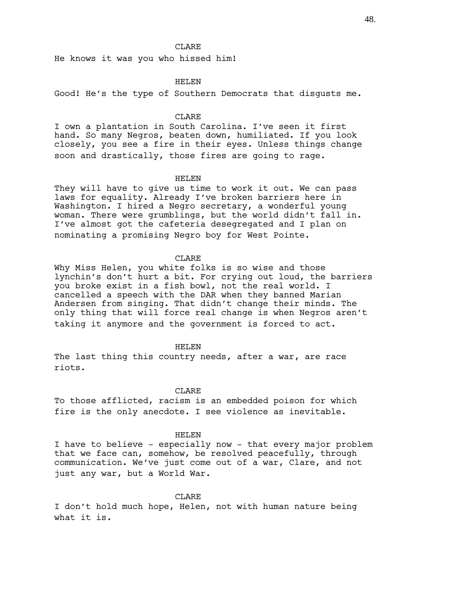He knows it was you who hissed him!

## HELEN

Good! He's the type of Southern Democrats that disgusts me.

## **CLARE**

I own a plantation in South Carolina. I've seen it first hand. So many Negros, beaten down, humiliated. If you look closely, you see a fire in their eyes. Unless things change soon and drastically, those fires are going to rage.

## HELEN

They will have to give us time to work it out. We can pass laws for equality. Already I've broken barriers here in Washington. I hired a Negro secretary, a wonderful young woman. There were grumblings, but the world didn't fall in. I've almost got the cafeteria desegregated and I plan on nominating a promising Negro boy for West Pointe.

## **CLARE**

Why Miss Helen, you white folks is so wise and those lynchin's don't hurt a bit. For crying out loud, the barriers you broke exist in a fish bowl, not the real world. I cancelled a speech with the DAR when they banned Marian Andersen from singing. That didn't change their minds. The only thing that will force real change is when Negros aren't taking it anymore and the government is forced to act.

#### HELEN

The last thing this country needs, after a war, are race riots.

## CLARE

To those afflicted, racism is an embedded poison for which fire is the only anecdote. I see violence as inevitable.

## HELEN

I have to believe - especially now - that every major problem that we face can, somehow, be resolved peacefully, through communication. We've just come out of a war, Clare, and not just any war, but a World War.

### CLARE

I don't hold much hope, Helen, not with human nature being what it is.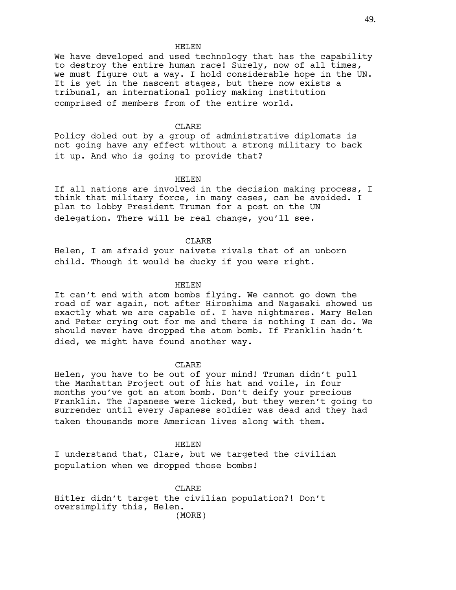We have developed and used technology that has the capability to destroy the entire human race! Surely, now of all times, we must figure out a way. I hold considerable hope in the UN. It is yet in the nascent stages, but there now exists a tribunal, an international policy making institution comprised of members from of the entire world.

## CLARE

Policy doled out by a group of administrative diplomats is not going have any effect without a strong military to back it up. And who is going to provide that?

## HELEN

If all nations are involved in the decision making process, I think that military force, in many cases, can be avoided. I plan to lobby President Truman for a post on the UN delegation. There will be real change, you'll see.

## CLARE

Helen, I am afraid your naivete rivals that of an unborn child. Though it would be ducky if you were right.

#### HELEN

It can't end with atom bombs flying. We cannot go down the road of war again, not after Hiroshima and Nagasaki showed us exactly what we are capable of. I have nightmares. Mary Helen and Peter crying out for me and there is nothing I can do. We should never have dropped the atom bomb. If Franklin hadn't died, we might have found another way.

# CLARE

Helen, you have to be out of your mind! Truman didn't pull the Manhattan Project out of his hat and voile, in four months you've got an atom bomb. Don't deify your precious Franklin. The Japanese were licked, but they weren't going to surrender until every Japanese soldier was dead and they had taken thousands more American lives along with them.

### HELEN

I understand that, Clare, but we targeted the civilian population when we dropped those bombs!

CLARE Hitler didn't target the civilian population?! Don't oversimplify this, Helen. (MORE)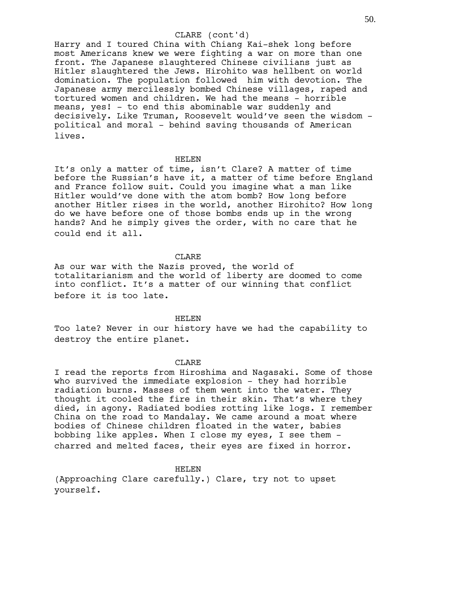## CLARE (cont'd)

Harry and I toured China with Chiang Kai-shek long before most Americans knew we were fighting a war on more than one front. The Japanese slaughtered Chinese civilians just as Hitler slaughtered the Jews. Hirohito was hellbent on world domination. The population followed him with devotion. The Japanese army mercilessly bombed Chinese villages, raped and tortured women and children. We had the means - horrible means, yes! - to end this abominable war suddenly and decisively. Like Truman, Roosevelt would've seen the wisdom political and moral - behind saving thousands of American lives.

#### HELEN

It's only a matter of time, isn't Clare? A matter of time before the Russian's have it, a matter of time before England and France follow suit. Could you imagine what a man like Hitler would've done with the atom bomb? How long before another Hitler rises in the world, another Hirohito? How long do we have before one of those bombs ends up in the wrong hands? And he simply gives the order, with no care that he could end it all.

## CLARE

As our war with the Nazis proved, the world of totalitarianism and the world of liberty are doomed to come into conflict. It's a matter of our winning that conflict before it is too late.

HELEN

Too late? Never in our history have we had the capability to destroy the entire planet.

#### CLARE

I read the reports from Hiroshima and Nagasaki. Some of those who survived the immediate explosion - they had horrible radiation burns. Masses of them went into the water. They thought it cooled the fire in their skin. That's where they died, in agony. Radiated bodies rotting like logs. I remember China on the road to Mandalay. We came around a moat where bodies of Chinese children floated in the water, babies bobbing like apples. When I close my eyes, I see them charred and melted faces, their eyes are fixed in horror.

#### HELEN

(Approaching Clare carefully.) Clare, try not to upset yourself.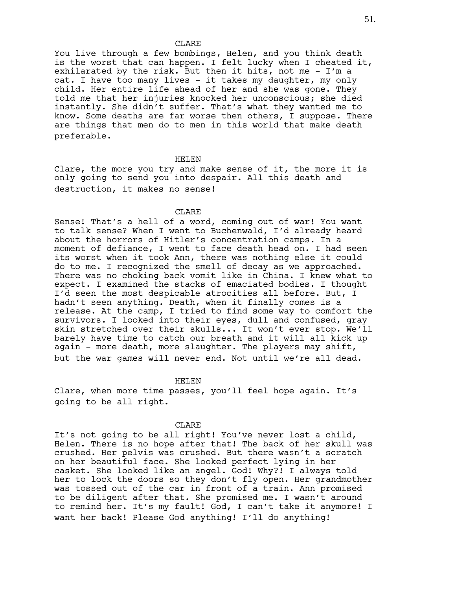You live through a few bombings, Helen, and you think death is the worst that can happen. I felt lucky when I cheated it, exhilarated by the risk. But then it hits, not me - I'm a cat. I have too many lives - it takes my daughter, my only child. Her entire life ahead of her and she was gone. They told me that her injuries knocked her unconscious; she died instantly. She didn't suffer. That's what they wanted me to know. Some deaths are far worse then others, I suppose. There are things that men do to men in this world that make death preferable.

#### HELEN

Clare, the more you try and make sense of it, the more it is only going to send you into despair. All this death and destruction, it makes no sense!

## CLARE

Sense! That's a hell of a word, coming out of war! You want to talk sense? When I went to Buchenwald, I'd already heard about the horrors of Hitler's concentration camps. In a moment of defiance, I went to face death head on. I had seen its worst when it took Ann, there was nothing else it could do to me. I recognized the smell of decay as we approached. There was no choking back vomit like in China. I knew what to expect. I examined the stacks of emaciated bodies. I thought I'd seen the most despicable atrocities all before. But, I hadn't seen anything. Death, when it finally comes is a release. At the camp, I tried to find some way to comfort the survivors. I looked into their eyes, dull and confused, gray skin stretched over their skulls... It won't ever stop. We'll barely have time to catch our breath and it will all kick up again - more death, more slaughter. The players may shift, but the war games will never end. Not until we're all dead.

### HELEN

Clare, when more time passes, you'll feel hope again. It's going to be all right.

## CLARE

It's not going to be all right! You've never lost a child, Helen. There is no hope after that! The back of her skull was crushed. Her pelvis was crushed. But there wasn't a scratch on her beautiful face. She looked perfect lying in her casket. She looked like an angel. God! Why?! I always told her to lock the doors so they don't fly open. Her grandmother was tossed out of the car in front of a train. Ann promised to be diligent after that. She promised me. I wasn't around to remind her. It's my fault! God, I can't take it anymore! I want her back! Please God anything! I'll do anything!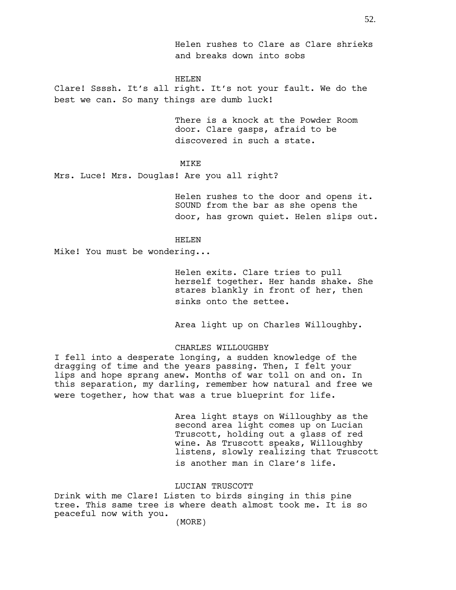Helen rushes to Clare as Clare shrieks and breaks down into sobs

### HELEN

Clare! Ssssh. It's all right. It's not your fault. We do the best we can. So many things are dumb luck!

> There is a knock at the Powder Room door. Clare gasps, afraid to be discovered in such a state.

# MIKE

Mrs. Luce! Mrs. Douglas! Are you all right?

Helen rushes to the door and opens it. SOUND from the bar as she opens the door, has grown quiet. Helen slips out.

## HELEN

Mike! You must be wondering...

Helen exits. Clare tries to pull herself together. Her hands shake. She stares blankly in front of her, then sinks onto the settee.

Area light up on Charles Willoughby.

### CHARLES WILLOUGHBY

I fell into a desperate longing, a sudden knowledge of the dragging of time and the years passing. Then, I felt your lips and hope sprang anew. Months of war toll on and on. In this separation, my darling, remember how natural and free we were together, how that was a true blueprint for life.

> Area light stays on Willoughby as the second area light comes up on Lucian Truscott, holding out a glass of red wine. As Truscott speaks, Willoughby listens, slowly realizing that Truscott is another man in Clare's life.

## LUCIAN TRUSCOTT

Drink with me Clare! Listen to birds singing in this pine tree. This same tree is where death almost took me. It is so peaceful now with you.

(MORE)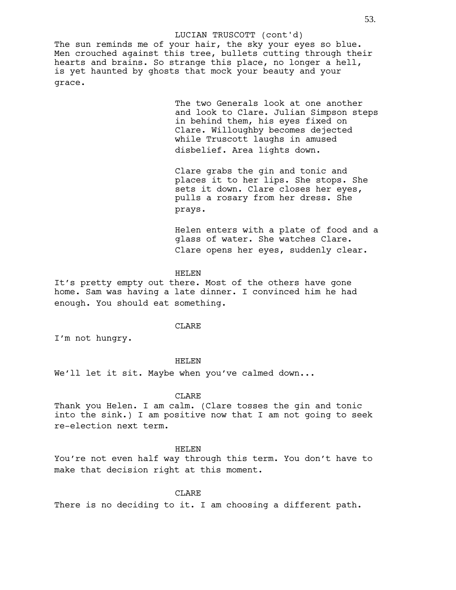The sun reminds me of your hair, the sky your eyes so blue. Men crouched against this tree, bullets cutting through their hearts and brains. So strange this place, no longer a hell, is yet haunted by ghosts that mock your beauty and your grace. LUCIAN TRUSCOTT (cont'd)

> The two Generals look at one another and look to Clare. Julian Simpson steps in behind them, his eyes fixed on Clare. Willoughby becomes dejected while Truscott laughs in amused disbelief. Area lights down.

Clare grabs the gin and tonic and places it to her lips. She stops. She sets it down. Clare closes her eyes, pulls a rosary from her dress. She prays.

Helen enters with a plate of food and a glass of water. She watches Clare. Clare opens her eyes, suddenly clear.

### HELEN

It's pretty empty out there. Most of the others have gone home. Sam was having a late dinner. I convinced him he had enough. You should eat something.

### CLARE

I'm not hungry.

### HELEN

We'll let it sit. Maybe when you've calmed down...

## CLARE

Thank you Helen. I am calm. (Clare tosses the gin and tonic into the sink.) I am positive now that I am not going to seek re-election next term.

## HELEN

You're not even half way through this term. You don't have to make that decision right at this moment.

# CLARE

There is no deciding to it. I am choosing a different path.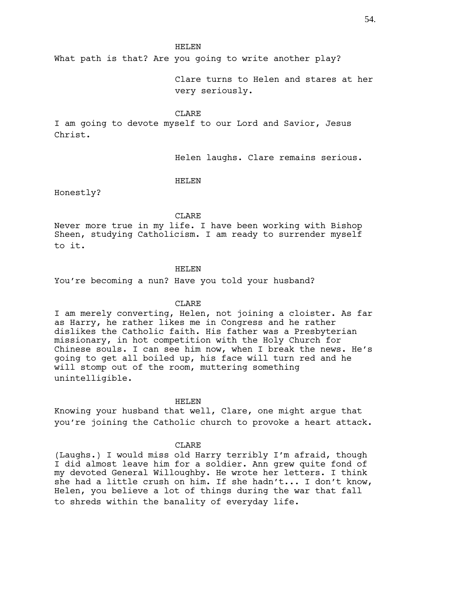What path is that? Are you going to write another play?

Clare turns to Helen and stares at her very seriously.

CLARE

I am going to devote myself to our Lord and Savior, Jesus Christ.

Helen laughs. Clare remains serious.

## HELEN

Honestly?

## CLARE

Never more true in my life. I have been working with Bishop Sheen, studying Catholicism. I am ready to surrender myself to it.

### HELEN

You're becoming a nun? Have you told your husband?

## CLARE

I am merely converting, Helen, not joining a cloister. As far as Harry, he rather likes me in Congress and he rather dislikes the Catholic faith. His father was a Presbyterian missionary, in hot competition with the Holy Church for Chinese souls. I can see him now, when I break the news. He's going to get all boiled up, his face will turn red and he will stomp out of the room, muttering something unintelligible.

## HELEN

Knowing your husband that well, Clare, one might argue that you're joining the Catholic church to provoke a heart attack.

## CLARE

(Laughs.) I would miss old Harry terribly I'm afraid, though I did almost leave him for a soldier. Ann grew quite fond of my devoted General Willoughby. He wrote her letters. I think she had a little crush on him. If she hadn't... I don't know, Helen, you believe a lot of things during the war that fall to shreds within the banality of everyday life.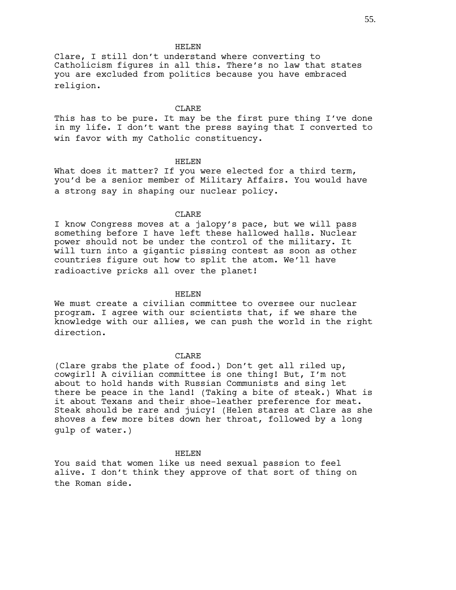Clare, I still don't understand where converting to Catholicism figures in all this. There's no law that states you are excluded from politics because you have embraced religion.

#### CLARE.

This has to be pure. It may be the first pure thing I've done in my life. I don't want the press saying that I converted to win favor with my Catholic constituency.

## HELEN

What does it matter? If you were elected for a third term, you'd be a senior member of Military Affairs. You would have a strong say in shaping our nuclear policy.

## CLARE

I know Congress moves at a jalopy's pace, but we will pass something before I have left these hallowed halls. Nuclear power should not be under the control of the military. It will turn into a gigantic pissing contest as soon as other countries figure out how to split the atom. We'll have radioactive pricks all over the planet!

## HELEN

We must create a civilian committee to oversee our nuclear program. I agree with our scientists that, if we share the knowledge with our allies, we can push the world in the right direction.

### CLARE

(Clare grabs the plate of food.) Don't get all riled up, cowgirl! A civilian committee is one thing! But, I'm not about to hold hands with Russian Communists and sing let there be peace in the land! (Taking a bite of steak.) What is it about Texans and their shoe-leather preference for meat. Steak should be rare and juicy! (Helen stares at Clare as she shoves a few more bites down her throat, followed by a long gulp of water.)

#### HELEN

You said that women like us need sexual passion to feel alive. I don't think they approve of that sort of thing on the Roman side.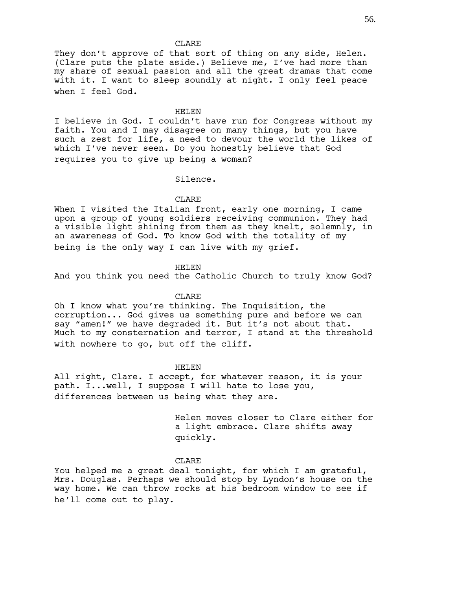They don't approve of that sort of thing on any side, Helen. (Clare puts the plate aside.) Believe me, I've had more than my share of sexual passion and all the great dramas that come with it. I want to sleep soundly at night. I only feel peace when I feel God.

### HELEN

I believe in God. I couldn't have run for Congress without my faith. You and I may disagree on many things, but you have such a zest for life, a need to devour the world the likes of which I've never seen. Do you honestly believe that God requires you to give up being a woman?

Silence.

## CLARE

When I visited the Italian front, early one morning, I came upon a group of young soldiers receiving communion. They had a visible light shining from them as they knelt, solemnly, in an awareness of God. To know God with the totality of my being is the only way I can live with my grief.

### HELEN

And you think you need the Catholic Church to truly know God?

### CLARE

Oh I know what you're thinking. The Inquisition, the corruption... God gives us something pure and before we can say "amen!" we have degraded it. But it's not about that. Much to my consternation and terror, I stand at the threshold with nowhere to go, but off the cliff.

### HELEN

All right, Clare. I accept, for whatever reason, it is your path. I...well, I suppose I will hate to lose you, differences between us being what they are.

> Helen moves closer to Clare either for a light embrace. Clare shifts away quickly.

## **CLARE**

You helped me a great deal tonight, for which I am grateful, Mrs. Douglas. Perhaps we should stop by Lyndon's house on the way home. We can throw rocks at his bedroom window to see if he'll come out to play.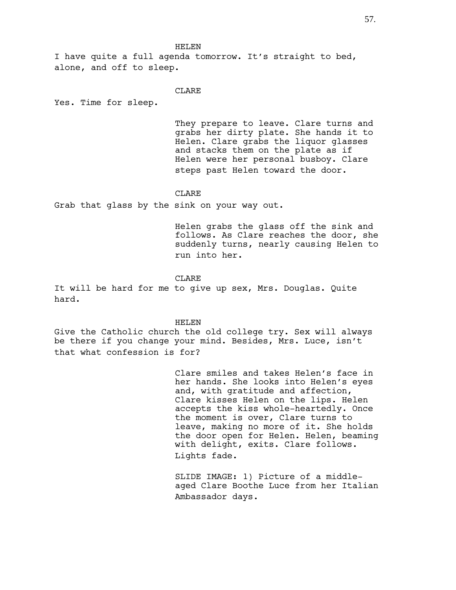I have quite a full agenda tomorrow. It's straight to bed, alone, and off to sleep.

## CLARE

Yes. Time for sleep.

They prepare to leave. Clare turns and grabs her dirty plate. She hands it to Helen. Clare grabs the liquor glasses and stacks them on the plate as if Helen were her personal busboy. Clare steps past Helen toward the door.

### CLARE

Grab that glass by the sink on your way out.

Helen grabs the glass off the sink and follows. As Clare reaches the door, she suddenly turns, nearly causing Helen to run into her.

## **CLARE**

It will be hard for me to give up sex, Mrs. Douglas. Quite hard.

### HELEN

Give the Catholic church the old college try. Sex will always be there if you change your mind. Besides, Mrs. Luce, isn't that what confession is for?

> Clare smiles and takes Helen's face in her hands. She looks into Helen's eyes and, with gratitude and affection, Clare kisses Helen on the lips. Helen accepts the kiss whole-heartedly. Once the moment is over, Clare turns to leave, making no more of it. She holds the door open for Helen. Helen, beaming with delight, exits. Clare follows. Lights fade.

> SLIDE IMAGE: 1) Picture of a middleaged Clare Boothe Luce from her Italian Ambassador days.